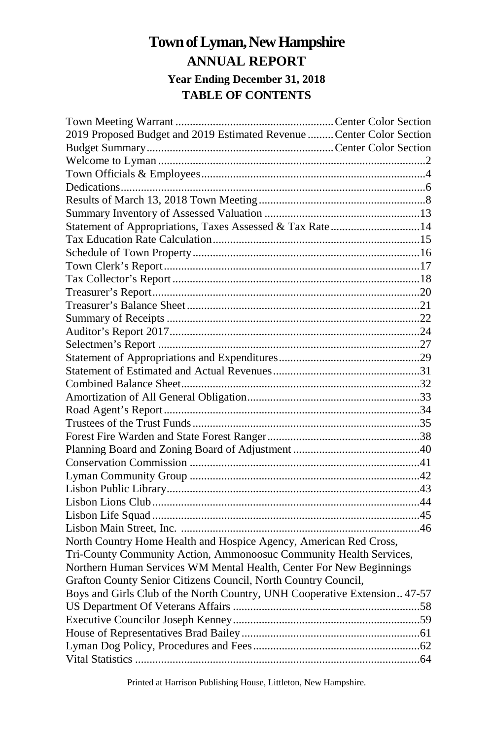## **Townof Lyman, NewHampshire ANNUAL REPORT Year Ending December 31, 2018 TABLE OF CONTENTS**

| 2019 Proposed Budget and 2019 Estimated Revenue  Center Color Section     |  |
|---------------------------------------------------------------------------|--|
|                                                                           |  |
|                                                                           |  |
|                                                                           |  |
|                                                                           |  |
|                                                                           |  |
|                                                                           |  |
| Statement of Appropriations, Taxes Assessed & Tax Rate14                  |  |
|                                                                           |  |
|                                                                           |  |
|                                                                           |  |
|                                                                           |  |
|                                                                           |  |
|                                                                           |  |
|                                                                           |  |
|                                                                           |  |
|                                                                           |  |
|                                                                           |  |
|                                                                           |  |
|                                                                           |  |
|                                                                           |  |
|                                                                           |  |
|                                                                           |  |
|                                                                           |  |
|                                                                           |  |
|                                                                           |  |
|                                                                           |  |
|                                                                           |  |
|                                                                           |  |
|                                                                           |  |
|                                                                           |  |
| North Country Home Health and Hospice Agency, American Red Cross,         |  |
| Tri-County Community Action, Ammonoosuc Community Health Services,        |  |
| Northern Human Services WM Mental Health, Center For New Beginnings       |  |
| Grafton County Senior Citizens Council, North Country Council,            |  |
| Boys and Girls Club of the North Country, UNH Cooperative Extension 47-57 |  |
|                                                                           |  |
|                                                                           |  |
|                                                                           |  |
|                                                                           |  |
|                                                                           |  |

Printed at Harrison Publishing House, Littleton, New Hampshire.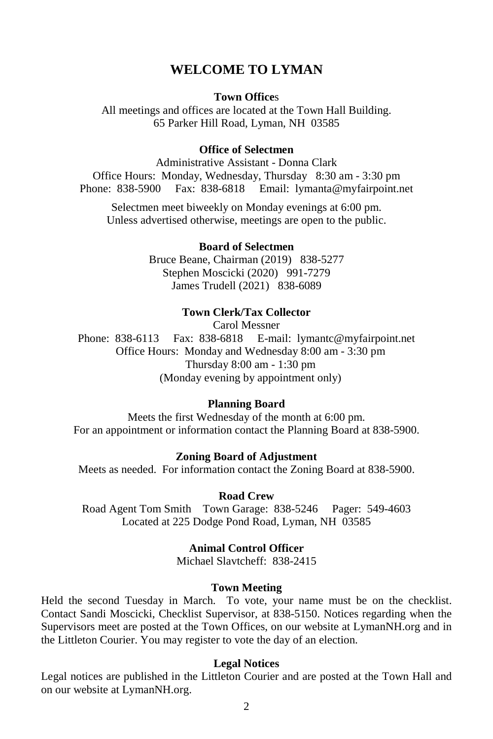## **WELCOME TO LYMAN**

#### **Town Office**s

All meetings and offices are located at the Town Hall Building. 65 Parker Hill Road, Lyman, NH 03585

#### **Office of Selectmen**

Administrative Assistant - Donna Clark Office Hours: Monday, Wednesday, Thursday 8:30 am - 3:30 pm Phone: 838-5900 Fax: 838-6818 Email: lymanta@myfairpoint.net

Selectmen meet biweekly on Monday evenings at 6:00 pm. Unless advertised otherwise, meetings are open to the public.

#### **Board of Selectmen**

Bruce Beane, Chairman (2019) 838-5277 Stephen Moscicki (2020) 991-7279 James Trudell (2021) 838-6089

#### **Town Clerk/Tax Collector**

Carol Messner Phone: 838-6113 Fax: 838-6818 E-mail: lymantc@myfairpoint.net Office Hours: Monday and Wednesday 8:00 am - 3:30 pm Thursday 8:00 am - 1:30 pm (Monday evening by appointment only)

#### **Planning Board**

Meets the first Wednesday of the month at 6:00 pm. For an appointment or information contact the Planning Board at 838-5900.

#### **Zoning Board of Adjustment**

Meets as needed. For information contact the Zoning Board at 838-5900.

#### **Road Crew**

Road Agent Tom Smith Town Garage: 838-5246 Pager: 549-4603 Located at 225 Dodge Pond Road, Lyman, NH 03585

#### **Animal Control Officer**

Michael Slavtcheff: 838-2415

#### **Town Meeting**

Held the second Tuesday in March. To vote, your name must be on the checklist. Contact Sandi Moscicki, Checklist Supervisor, at 838-5150. Notices regarding when the Supervisors meet are posted at the Town Offices, on our website at LymanNH.org and in the Littleton Courier. You may register to vote the day of an election.

#### **Legal Notices**

Legal notices are published in the Littleton Courier and are posted at the Town Hall and on our website at LymanNH.org.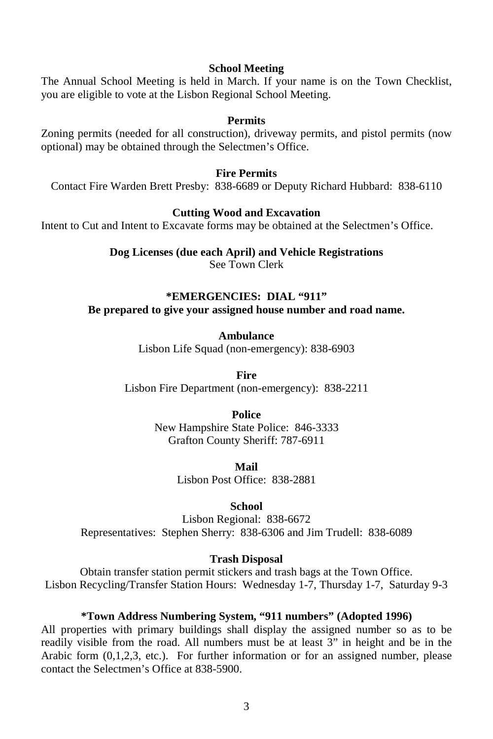#### **School Meeting**

The Annual School Meeting is held in March. If your name is on the Town Checklist, you are eligible to vote at the Lisbon Regional School Meeting.

#### **Permits**

Zoning permits (needed for all construction), driveway permits, and pistol permits (now optional) may be obtained through the Selectmen's Office.

#### **Fire Permits**

Contact Fire Warden Brett Presby: 838-6689 or Deputy Richard Hubbard: 838-6110

#### **Cutting Wood and Excavation**

Intent to Cut and Intent to Excavate forms may be obtained at the Selectmen's Office.

**Dog Licenses (due each April) and Vehicle Registrations** See Town Clerk

#### **\*EMERGENCIES: DIAL "911" Be prepared to give your assigned house number and road name.**

**Ambulance** Lisbon Life Squad (non-emergency): 838-6903

**Fire** Lisbon Fire Department (non-emergency): 838-2211

**Police**

New Hampshire State Police: 846-3333 Grafton County Sheriff: 787-6911

> **Mail** Lisbon Post Office: 838-2881

> > **School**

Lisbon Regional: 838-6672 Representatives: Stephen Sherry: 838-6306 and Jim Trudell: 838-6089

#### **Trash Disposal**

Obtain transfer station permit stickers and trash bags at the Town Office. Lisbon Recycling/Transfer Station Hours: Wednesday 1-7, Thursday 1-7, Saturday 9-3

#### **\*Town Address Numbering System, "911 numbers" (Adopted 1996)**

All properties with primary buildings shall display the assigned number so as to be readily visible from the road. All numbers must be at least 3" in height and be in the Arabic form (0,1,2,3, etc.). For further information or for an assigned number, please contact the Selectmen's Office at 838-5900.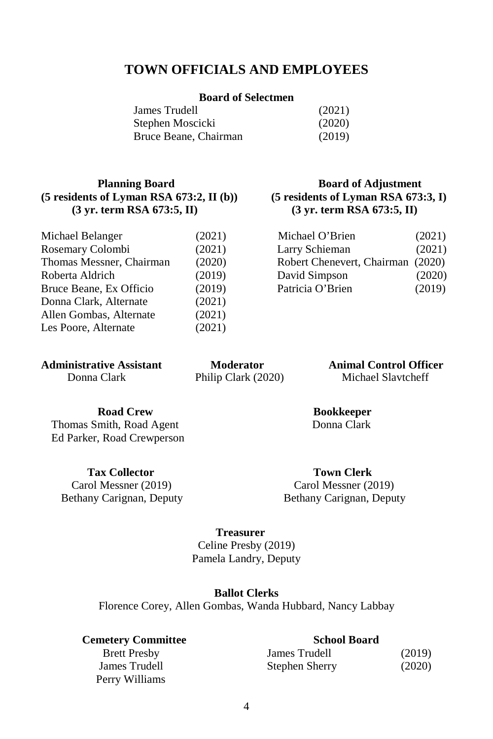## **TOWN OFFICIALS AND EMPLOYEES**

#### **Board of Selectmen**

| James Trudell         | (2021) |
|-----------------------|--------|
| Stephen Moscicki      | (2020) |
| Bruce Beane, Chairman | (2019) |

#### **Planning Board Board <b>Board Board Board Board Board Board (5 residents of Lyman RSA 673:2, II (b)) (5 residents of Lyman RSA 673:3, I) (3 yr. term RSA 673:5, II) (3 yr. term RSA 673:5, II)**

| Michael Belanger         | (2021) | Michael O'Brien            | (2021) |
|--------------------------|--------|----------------------------|--------|
| Rosemary Colombi         | (2021) | Larry Schieman             | (2021) |
| Thomas Messner, Chairman | (2020) | Robert Chenevert, Chairman | (2020) |
| Roberta Aldrich          | (2019) | David Simpson              | (2020) |
| Bruce Beane, Ex Officio  | (2019) | Patricia O'Brien           | (2019) |
| Donna Clark, Alternate   | (2021) |                            |        |
| Allen Gombas, Alternate  | (2021) |                            |        |
| Les Poore, Alternate     | (2021) |                            |        |
|                          |        |                            |        |

| (2021) | Michael O'Brien                   | (2021) |
|--------|-----------------------------------|--------|
| (2021) | Larry Schieman                    | (2021) |
| (2020) | Robert Chenevert, Chairman (2020) |        |
| (2019) | David Simpson                     | (2020) |
| (2019) | Patricia O'Brien                  | (2019) |
|        |                                   |        |

**Administrative Assistant Moderator Animal Control Officer**

Donna Clark Philip Clark (2020) Michael Slavtcheff

**Road Crew Bookkeeper**<br> **Bookkeeper**<br> **Bookkeeper**<br> **Bookkeeper** 

Thomas Smith, Road Agent Ed Parker, Road Crewperson

**Tax Collector Town Clerk**

 Carol Messner (2019) Carol Messner (2019) Bethany Carignan, Deputy Bethany Carignan, Deputy

## **Treasurer**

Celine Presby (2019) Pamela Landry, Deputy

#### **Ballot Clerks**

Florence Corey, Allen Gombas, Wanda Hubbard, Nancy Labbay

#### **Cemetery Committee School Board**

Brett Presby James Trudell Perry Williams

| James Trudell  | (2019) |
|----------------|--------|
| Stephen Sherry | (2020) |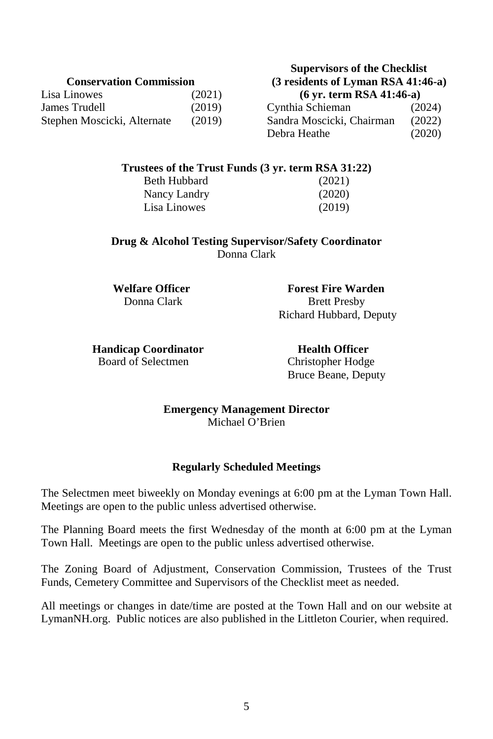| Lisa Linowes                | (2021) |
|-----------------------------|--------|
| James Trudell               | (2019) |
| Stephen Moscicki, Alternate | (2019) |

#### **Supervisors of the Checklist Conservation Commission (3 residents of Lyman RSA 41:46-a)** Lisa Linowes (2021) **(6 yr. term RSA 41:46-a)**

Cynthia Schieman (2024) Sandra Moscicki, Chairman (2022) Debra Heathe (2020)

#### **Trustees of the Trust Funds (3 yr. term RSA 31:22)**

Beth Hubbard (2021) Nancy Landry (2020) Lisa Linowes (2019)

**Drug & Alcohol Testing Supervisor/Safety Coordinator**  Donna Clark

**Welfare Officer Forest Fire Warden** Donna Clark Brett Presby Richard Hubbard, Deputy

**Handicap Coordinator Health Officer**<br> **Health Officer**<br> **Health Officer**<br> **Health Officer** 

Christopher Hodge Bruce Beane, Deputy

**Emergency Management Director** Michael O'Brien

#### **Regularly Scheduled Meetings**

The Selectmen meet biweekly on Monday evenings at 6:00 pm at the Lyman Town Hall. Meetings are open to the public unless advertised otherwise.

The Planning Board meets the first Wednesday of the month at 6:00 pm at the Lyman Town Hall. Meetings are open to the public unless advertised otherwise.

The Zoning Board of Adjustment, Conservation Commission, Trustees of the Trust Funds, Cemetery Committee and Supervisors of the Checklist meet as needed.

All meetings or changes in date/time are posted at the Town Hall and on our website at LymanNH.org. Public notices are also published in the Littleton Courier, when required.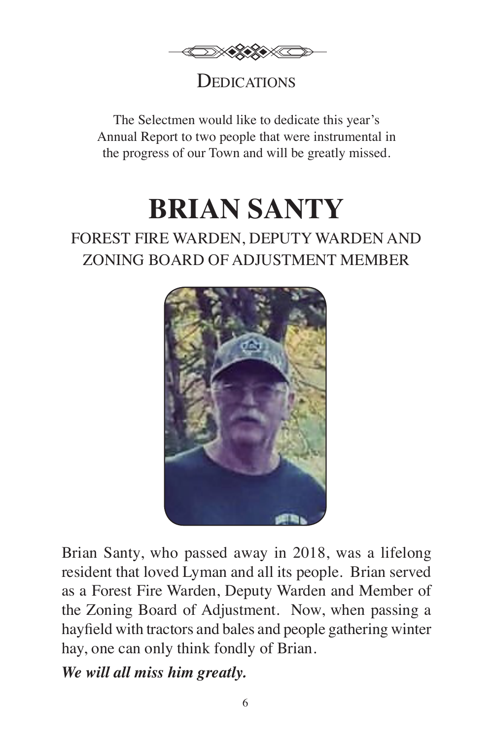

## **DEDICATIONS**

The Selectmen would like to dedicate this year's Annual Report to two people that were instrumental in the progress of our Town and will be greatly missed.

# **BRIAN SANTY**

## FOREST FIRE WARDEN, DEPUTY WARDEN AND ZONING BOARD OF ADJUSTMENT MEMBER



Brian Santy, who passed away in 2018, was a lifelong resident that loved Lyman and all its people. Brian served as a Forest Fire Warden, Deputy Warden and Member of the Zoning Board of Adjustment. Now, when passing a hayfield with tractors and bales and people gathering winter hay, one can only think fondly of Brian.

*We will all miss him greatly.*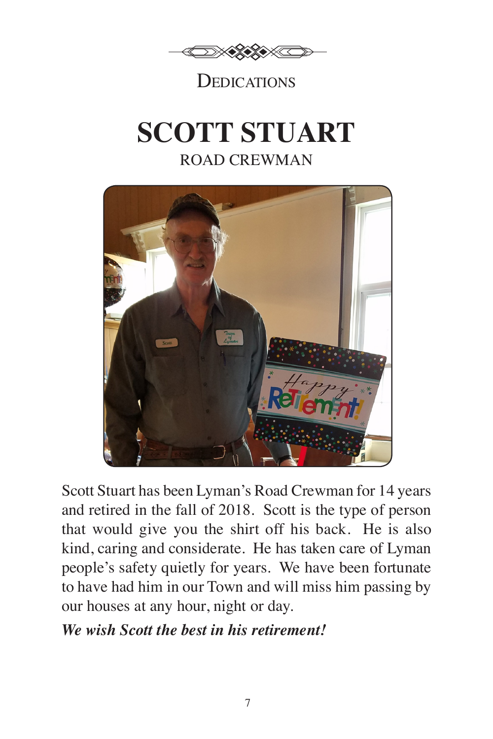

## **DEDICATIONS**

# **SCOTT STUART** ROAD CREWMAN



Scott Stuart has been Lyman's Road Crewman for 14 years and retired in the fall of 2018. Scott is the type of person that would give you the shirt off his back. He is also kind, caring and considerate. He has taken care of Lyman people's safety quietly for years. We have been fortunate to have had him in our Town and will miss him passing by our houses at any hour, night or day.

## *We wish Scott the best in his retirement!*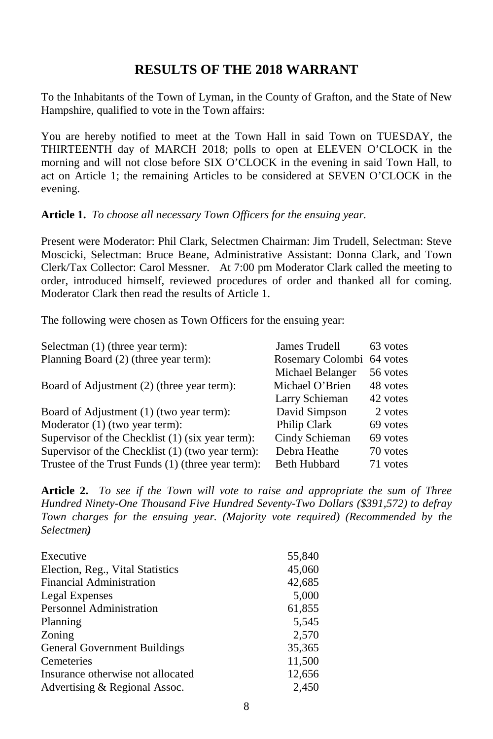## **RESULTS OF THE 2018 WARRANT**

To the Inhabitants of the Town of Lyman, in the County of Grafton, and the State of New Hampshire, qualified to vote in the Town affairs:

You are hereby notified to meet at the Town Hall in said Town on TUESDAY, the THIRTEENTH day of MARCH 2018; polls to open at ELEVEN O'CLOCK in the morning and will not close before SIX O'CLOCK in the evening in said Town Hall, to act on Article 1; the remaining Articles to be considered at SEVEN O'CLOCK in the evening.

#### **Article 1.** *To choose all necessary Town Officers for the ensuing year.*

Present were Moderator: Phil Clark, Selectmen Chairman: Jim Trudell, Selectman: Steve Moscicki, Selectman: Bruce Beane, Administrative Assistant: Donna Clark, and Town Clerk/Tax Collector: Carol Messner. At 7:00 pm Moderator Clark called the meeting to order, introduced himself, reviewed procedures of order and thanked all for coming. Moderator Clark then read the results of Article 1.

The following were chosen as Town Officers for the ensuing year:

| Selectman (1) (three year term):                  | James Trudell       | 63 votes |
|---------------------------------------------------|---------------------|----------|
| Planning Board (2) (three year term):             | Rosemary Colombi    | 64 votes |
|                                                   | Michael Belanger    | 56 votes |
| Board of Adjustment (2) (three year term):        | Michael O'Brien     | 48 votes |
|                                                   | Larry Schieman      | 42 votes |
| Board of Adjustment (1) (two year term):          | David Simpson       | 2 votes  |
| Moderator (1) (two year term):                    | Philip Clark        | 69 votes |
| Supervisor of the Checklist (1) (six year term):  | Cindy Schieman      | 69 votes |
| Supervisor of the Checklist (1) (two year term):  | Debra Heathe        | 70 votes |
| Trustee of the Trust Funds (1) (three year term): | <b>Beth Hubbard</b> | 71 votes |

**Article 2.** *To see if the Town will vote to raise and appropriate the sum of Three Hundred Ninety-One Thousand Five Hundred Seventy-Two Dollars (\$391,572) to defray Town charges for the ensuing year. (Majority vote required) (Recommended by the Selectmen)*

| Executive                         | 55,840 |
|-----------------------------------|--------|
| Election, Reg., Vital Statistics  | 45,060 |
| Financial Administration          | 42,685 |
| Legal Expenses                    | 5,000  |
| Personnel Administration          | 61,855 |
| Planning                          | 5,545  |
| Zoning                            | 2,570  |
| General Government Buildings      | 35,365 |
| Cemeteries                        | 11,500 |
| Insurance otherwise not allocated | 12,656 |
| Advertising & Regional Assoc.     | 2,450  |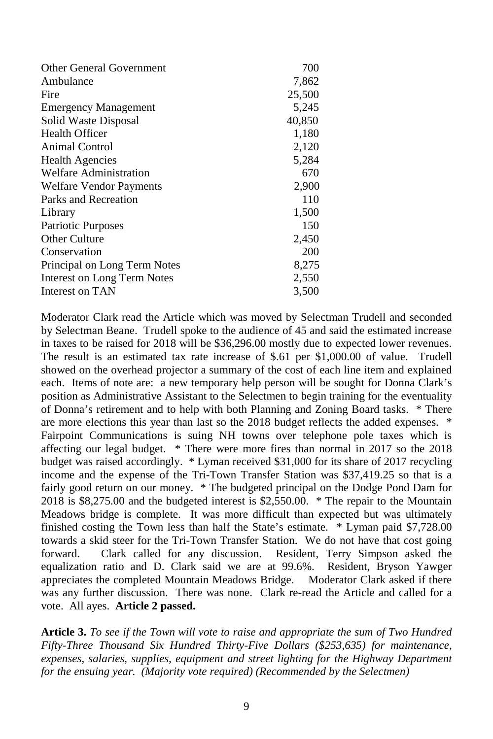| <b>Other General Government</b> | 700    |
|---------------------------------|--------|
| Ambulance                       | 7,862  |
| Fire                            | 25,500 |
| <b>Emergency Management</b>     | 5,245  |
| Solid Waste Disposal            | 40,850 |
| <b>Health Officer</b>           | 1,180  |
| Animal Control                  | 2,120  |
| <b>Health Agencies</b>          | 5,284  |
| <b>Welfare Administration</b>   | 670    |
| <b>Welfare Vendor Payments</b>  | 2,900  |
| Parks and Recreation            | 110    |
| Library                         | 1,500  |
| <b>Patriotic Purposes</b>       | 150    |
| Other Culture                   | 2,450  |
| Conservation                    | 200    |
| Principal on Long Term Notes    | 8,275  |
| Interest on Long Term Notes     | 2,550  |
| Interest on TAN                 | 3,500  |

Moderator Clark read the Article which was moved by Selectman Trudell and seconded by Selectman Beane. Trudell spoke to the audience of 45 and said the estimated increase in taxes to be raised for 2018 will be \$36,296.00 mostly due to expected lower revenues. The result is an estimated tax rate increase of \$.61 per \$1,000.00 of value. Trudell showed on the overhead projector a summary of the cost of each line item and explained each. Items of note are: a new temporary help person will be sought for Donna Clark's position as Administrative Assistant to the Selectmen to begin training for the eventuality of Donna's retirement and to help with both Planning and Zoning Board tasks. \* There are more elections this year than last so the 2018 budget reflects the added expenses. \* Fairpoint Communications is suing NH towns over telephone pole taxes which is affecting our legal budget. \* There were more fires than normal in 2017 so the 2018 budget was raised accordingly. \* Lyman received \$31,000 for its share of 2017 recycling income and the expense of the Tri-Town Transfer Station was \$37,419.25 so that is a fairly good return on our money. \* The budgeted principal on the Dodge Pond Dam for 2018 is \$8,275.00 and the budgeted interest is \$2,550.00. \* The repair to the Mountain Meadows bridge is complete. It was more difficult than expected but was ultimately finished costing the Town less than half the State's estimate. \* Lyman paid \$7,728.00 towards a skid steer for the Tri-Town Transfer Station. We do not have that cost going forward. Clark called for any discussion. Resident, Terry Simpson asked the equalization ratio and D. Clark said we are at 99.6%. Resident, Bryson Yawger appreciates the completed Mountain Meadows Bridge. Moderator Clark asked if there was any further discussion. There was none. Clark re-read the Article and called for a vote. All ayes. **Article 2 passed.**

**Article 3.** *To see if the Town will vote to raise and appropriate the sum of Two Hundred Fifty-Three Thousand Six Hundred Thirty-Five Dollars (\$253,635) for maintenance,*  expenses, salaries, supplies, equipment and street lighting for the Highway Department *for the ensuing year. (Majority vote required) (Recommended by the Selectmen)*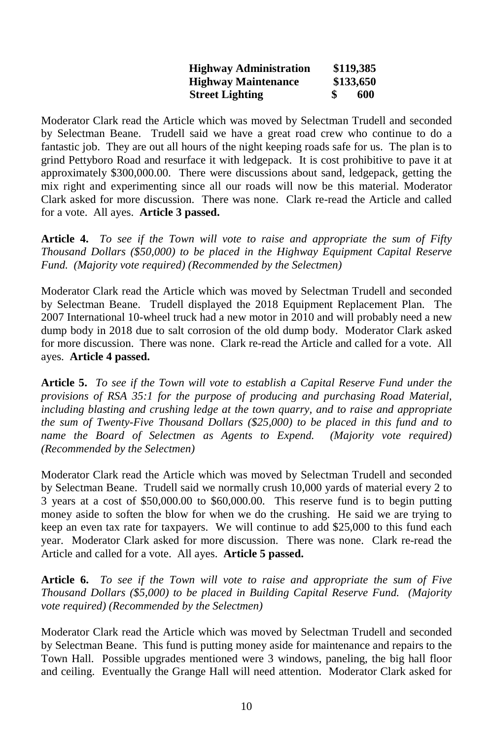| <b>Highway Administration</b> | \$119,385 |
|-------------------------------|-----------|
| <b>Highway Maintenance</b>    | \$133,650 |
| <b>Street Lighting</b>        | 600       |

Moderator Clark read the Article which was moved by Selectman Trudell and seconded by Selectman Beane. Trudell said we have a great road crew who continue to do a fantastic job. They are out all hours of the night keeping roads safe for us. The plan is to grind Pettyboro Road and resurface it with ledgepack. It is cost prohibitive to pave it at approximately \$300,000.00. There were discussions about sand, ledgepack, getting the mix right and experimenting since all our roads will now be this material. Moderator Clark asked for more discussion. There was none. Clark re-read the Article and called for a vote. All ayes. **Article 3 passed.**

**Article 4.** *To see if the Town will vote to raise and appropriate the sum of Fifty Thousand Dollars (\$50,000) to be placed in the Highway Equipment Capital Reserve Fund. (Majority vote required) (Recommended by the Selectmen)*

Moderator Clark read the Article which was moved by Selectman Trudell and seconded by Selectman Beane. Trudell displayed the 2018 Equipment Replacement Plan. The 2007 International 10-wheel truck had a new motor in 2010 and will probably need a new dump body in 2018 due to salt corrosion of the old dump body. Moderator Clark asked for more discussion. There was none. Clark re-read the Article and called for a vote. All ayes. **Article 4 passed.**

**Article 5.** *To see if the Town will vote to establish a Capital Reserve Fund under the provisions of RSA 35:1 for the purpose of producing and purchasing Road Material, including blasting and crushing ledge at the town quarry, and to raise and appropriate the sum of Twenty-Five Thousand Dollars (\$25,000) to be placed in this fund and to name the Board of Selectmen as Agents to Expend. (Majority vote required) (Recommended by the Selectmen)*

Moderator Clark read the Article which was moved by Selectman Trudell and seconded by Selectman Beane. Trudell said we normally crush 10,000 yards of material every 2 to 3 years at a cost of \$50,000.00 to \$60,000.00. This reserve fund is to begin putting money aside to soften the blow for when we do the crushing. He said we are trying to keep an even tax rate for taxpayers. We will continue to add \$25,000 to this fund each year. Moderator Clark asked for more discussion. There was none. Clark re-read the Article and called for a vote. All ayes. **Article 5 passed.**

**Article 6.** *To see if the Town will vote to raise and appropriate the sum of Five Thousand Dollars (\$5,000) to be placed in Building Capital Reserve Fund. (Majority vote required) (Recommended by the Selectmen)*

Moderator Clark read the Article which was moved by Selectman Trudell and seconded by Selectman Beane. This fund is putting money aside for maintenance and repairs to the Town Hall. Possible upgrades mentioned were 3 windows, paneling, the big hall floor and ceiling. Eventually the Grange Hall will need attention. Moderator Clark asked for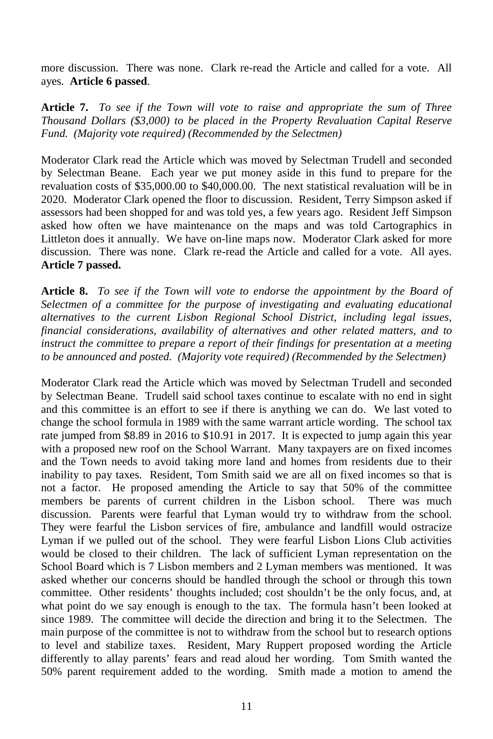more discussion. There was none. Clark re-read the Article and called for a vote. All ayes. **Article 6 passed**.

**Article 7.** *To see if the Town will vote to raise and appropriate the sum of Three Thousand Dollars (\$3,000) to be placed in the Property Revaluation Capital Reserve Fund. (Majority vote required) (Recommended by the Selectmen)*

Moderator Clark read the Article which was moved by Selectman Trudell and seconded by Selectman Beane. Each year we put money aside in this fund to prepare for the revaluation costs of \$35,000.00 to \$40,000.00. The next statistical revaluation will be in 2020. Moderator Clark opened the floor to discussion. Resident, Terry Simpson asked if assessors had been shopped for and was told yes, a few years ago. Resident Jeff Simpson asked how often we have maintenance on the maps and was told Cartographics in Littleton does it annually. We have on-line maps now. Moderator Clark asked for more discussion. There was none. Clark re-read the Article and called for a vote. All ayes. **Article 7 passed.**

**Article 8.** *To see if the Town will vote to endorse the appointment by the Board of Selectmen of a committee for the purpose of investigating and evaluating educational alternatives to the current Lisbon Regional School District, including legal issues, financial considerations, availability of alternatives and other related matters, and to instruct the committee to prepare a report of their findings for presentation at a meeting to be announced and posted. (Majority vote required) (Recommended by the Selectmen)*

Moderator Clark read the Article which was moved by Selectman Trudell and seconded by Selectman Beane. Trudell said school taxes continue to escalate with no end in sight and this committee is an effort to see if there is anything we can do. We last voted to change the school formula in 1989 with the same warrant article wording. The school tax rate jumped from \$8.89 in 2016 to \$10.91 in 2017. It is expected to jump again this year with a proposed new roof on the School Warrant. Many taxpayers are on fixed incomes and the Town needs to avoid taking more land and homes from residents due to their inability to pay taxes. Resident, Tom Smith said we are all on fixed incomes so that is not a factor. He proposed amending the Article to say that 50% of the committee members be parents of current children in the Lisbon school. There was much discussion. Parents were fearful that Lyman would try to withdraw from the school. They were fearful the Lisbon services of fire, ambulance and landfill would ostracize Lyman if we pulled out of the school. They were fearful Lisbon Lions Club activities would be closed to their children. The lack of sufficient Lyman representation on the School Board which is 7 Lisbon members and 2 Lyman members was mentioned. It was asked whether our concerns should be handled through the school or through this town committee. Other residents' thoughts included; cost shouldn't be the only focus, and, at what point do we say enough is enough to the tax. The formula hasn't been looked at since 1989. The committee will decide the direction and bring it to the Selectmen. The main purpose of the committee is not to withdraw from the school but to research options to level and stabilize taxes. Resident, Mary Ruppert proposed wording the Article differently to allay parents' fears and read aloud her wording. Tom Smith wanted the 50% parent requirement added to the wording. Smith made a motion to amend the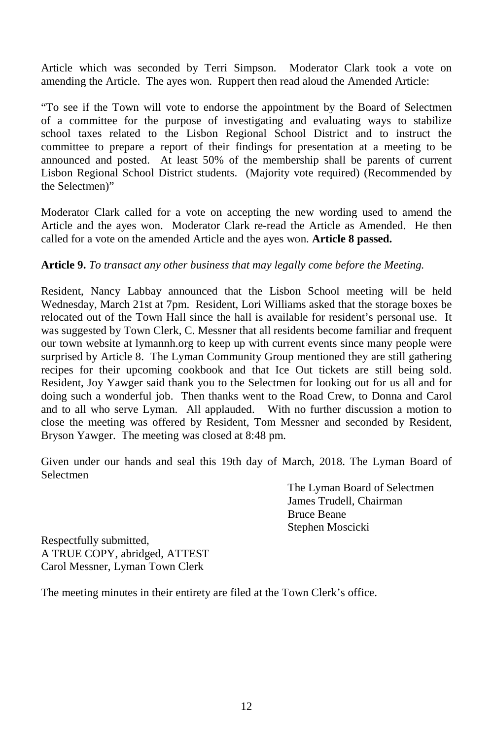Article which was seconded by Terri Simpson. Moderator Clark took a vote on amending the Article. The ayes won. Ruppert then read aloud the Amended Article:

"To see if the Town will vote to endorse the appointment by the Board of Selectmen of a committee for the purpose of investigating and evaluating ways to stabilize school taxes related to the Lisbon Regional School District and to instruct the committee to prepare a report of their findings for presentation at a meeting to be announced and posted. At least 50% of the membership shall be parents of current Lisbon Regional School District students. (Majority vote required) (Recommended by the Selectmen)"

Moderator Clark called for a vote on accepting the new wording used to amend the Article and the ayes won. Moderator Clark re-read the Article as Amended. He then called for a vote on the amended Article and the ayes won. **Article 8 passed.** 

#### **Article 9.** *To transact any other business that may legally come before the Meeting.*

Resident, Nancy Labbay announced that the Lisbon School meeting will be held Wednesday, March 21st at 7pm. Resident, Lori Williams asked that the storage boxes be relocated out of the Town Hall since the hall is available for resident's personal use. It was suggested by Town Clerk, C. Messner that all residents become familiar and frequent our town website at lymannh.org to keep up with current events since many people were surprised by Article 8. The Lyman Community Group mentioned they are still gathering recipes for their upcoming cookbook and that Ice Out tickets are still being sold. Resident, Joy Yawger said thank you to the Selectmen for looking out for us all and for doing such a wonderful job. Then thanks went to the Road Crew, to Donna and Carol and to all who serve Lyman. All applauded. With no further discussion a motion to close the meeting was offered by Resident, Tom Messner and seconded by Resident, Bryson Yawger. The meeting was closed at 8:48 pm.

Given under our hands and seal this 19th day of March, 2018. The Lyman Board of Selectmen

> The Lyman Board of Selectmen James Trudell, Chairman Bruce Beane Stephen Moscicki

Respectfully submitted, A TRUE COPY, abridged, ATTEST Carol Messner, Lyman Town Clerk

The meeting minutes in their entirety are filed at the Town Clerk's office.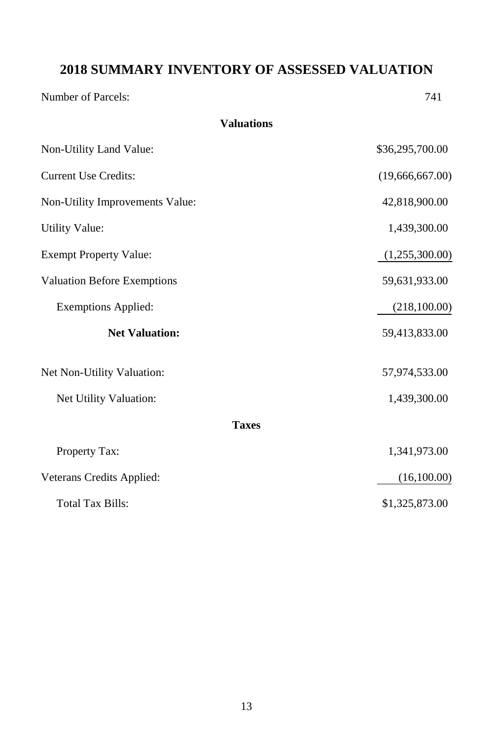## **2018 SUMMARY INVENTORY OF ASSESSED VALUATION**

**Valuations**

Number of Parcels:  $741$ 

| Non-Utility Land Value:            | \$36,295,700.00 |
|------------------------------------|-----------------|
| <b>Current Use Credits:</b>        | (19,666,667.00) |
| Non-Utility Improvements Value:    | 42,818,900.00   |
| <b>Utility Value:</b>              | 1,439,300.00    |
| <b>Exempt Property Value:</b>      | (1,255,300.00)  |
| <b>Valuation Before Exemptions</b> | 59,631,933.00   |
| <b>Exemptions Applied:</b>         | (218,100.00)    |
| <b>Net Valuation:</b>              | 59,413,833.00   |
| Net Non-Utility Valuation:         | 57,974,533.00   |
| Net Utility Valuation:             | 1,439,300.00    |
| <b>Taxes</b>                       |                 |
| Property Tax:                      | 1,341,973.00    |
| Veterans Credits Applied:          | (16,100.00)     |
| <b>Total Tax Bills:</b>            | \$1,325,873.00  |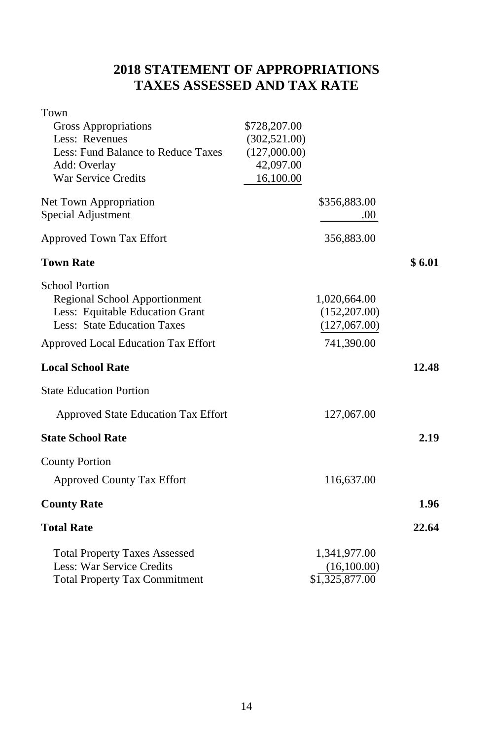## **2018 STATEMENT OF APPROPRIATIONS TAXES ASSESSED AND TAX RATE**

| Town                                 |               |                |        |
|--------------------------------------|---------------|----------------|--------|
| Gross Appropriations                 | \$728,207.00  |                |        |
| Less: Revenues                       | (302, 521.00) |                |        |
| Less: Fund Balance to Reduce Taxes   | (127,000.00)  |                |        |
| Add: Overlay                         | 42,097.00     |                |        |
| War Service Credits                  | 16,100.00     |                |        |
| Net Town Appropriation               |               | \$356,883.00   |        |
| Special Adjustment                   |               | .00.           |        |
| Approved Town Tax Effort             |               | 356,883.00     |        |
| <b>Town Rate</b>                     |               |                | \$6.01 |
| <b>School Portion</b>                |               |                |        |
| Regional School Apportionment        |               | 1,020,664.00   |        |
| Less: Equitable Education Grant      |               | (152, 207.00)  |        |
| Less: State Education Taxes          |               | (127,067.00)   |        |
| Approved Local Education Tax Effort  |               | 741,390.00     |        |
| <b>Local School Rate</b>             |               |                | 12.48  |
| <b>State Education Portion</b>       |               |                |        |
| Approved State Education Tax Effort  |               | 127,067.00     |        |
| <b>State School Rate</b>             |               |                | 2.19   |
| <b>County Portion</b>                |               |                |        |
| <b>Approved County Tax Effort</b>    |               | 116,637.00     |        |
| <b>County Rate</b>                   |               |                | 1.96   |
| <b>Total Rate</b>                    |               |                | 22.64  |
| <b>Total Property Taxes Assessed</b> |               | 1,341,977.00   |        |
| Less: War Service Credits            |               | (16,100.00)    |        |
| <b>Total Property Tax Commitment</b> |               | \$1,325,877.00 |        |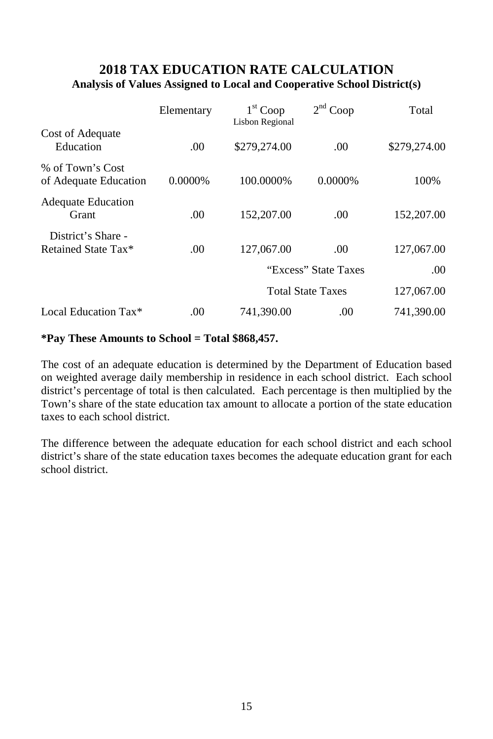## **2018 TAX EDUCATION RATE CALCULATION Analysis of Values Assigned to Local and Cooperative School District(s)**

|                                           | Elementary | $1st$ Coop<br>Lisbon Regional | 2 <sup>nd</sup> Coop     | Total        |
|-------------------------------------------|------------|-------------------------------|--------------------------|--------------|
| Cost of Adequate<br>Education             | .00        | \$279,274.00                  | .00                      | \$279,274.00 |
| % of Town's Cost<br>of Adequate Education | 0.0000%    | 100.0000%                     | $0.0000\%$               | 100%         |
| <b>Adequate Education</b><br>Grant        | .00        | 152,207.00                    | .00                      | 152,207.00   |
| District's Share -<br>Retained State Tax* | .00        | 127,067.00                    | .00                      | 127,067.00   |
|                                           |            |                               | "Excess" State Taxes     | .00.         |
|                                           |            |                               | <b>Total State Taxes</b> | 127,067.00   |
| Local Education Tax*                      | .00        | 741,390.00                    | .00                      | 741,390.00   |

#### **\*Pay These Amounts to School = Total \$868,457.**

The cost of an adequate education is determined by the Department of Education based on weighted average daily membership in residence in each school district. Each school district's percentage of total is then calculated. Each percentage is then multiplied by the Town's share of the state education tax amount to allocate a portion of the state education taxes to each school district.

The difference between the adequate education for each school district and each school district's share of the state education taxes becomes the adequate education grant for each school district.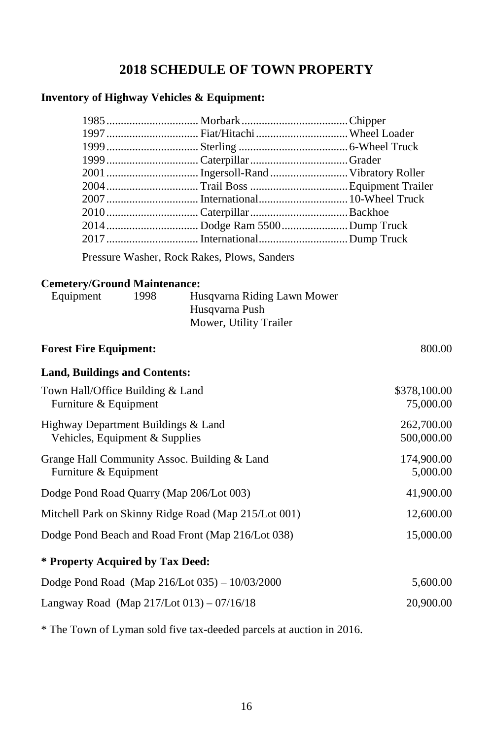## **2018 SCHEDULE OF TOWN PROPERTY**

### **Inventory of Highway Vehicles & Equipment:**

| 1997  Fiat/Hitachi  Wheel Loader |  |
|----------------------------------|--|
|                                  |  |
|                                  |  |
|                                  |  |
|                                  |  |
|                                  |  |
|                                  |  |
|                                  |  |
|                                  |  |

Pressure Washer, Rock Rakes, Plows, Sanders

### **Cemetery/Ground Maintenance:**

| Equipment | 1998 | Husqvarna Riding Lawn Mower |
|-----------|------|-----------------------------|
|           |      | Husqvarna Push              |
|           |      | Mower, Utility Trailer      |

| <b>Forest Fire Equipment:</b>                                         | 800.00                    |
|-----------------------------------------------------------------------|---------------------------|
| <b>Land, Buildings and Contents:</b>                                  |                           |
| Town Hall/Office Building & Land<br>Furniture & Equipment             | \$378,100.00<br>75,000.00 |
| Highway Department Buildings & Land<br>Vehicles, Equipment & Supplies | 262,700.00<br>500,000.00  |
| Grange Hall Community Assoc. Building & Land<br>Furniture & Equipment | 174,900.00<br>5,000.00    |
| Dodge Pond Road Quarry (Map 206/Lot 003)                              | 41,900.00                 |
| Mitchell Park on Skinny Ridge Road (Map 215/Lot 001)                  | 12,600.00                 |
| Dodge Pond Beach and Road Front (Map 216/Lot 038)                     | 15,000.00                 |
| * Property Acquired by Tax Deed:                                      |                           |
| Dodge Pond Road (Map 216/Lot 035) - 10/03/2000                        | 5,600.00                  |
| Langway Road (Map $217$ /Lot 013) – 07/16/18                          | 20,900.00                 |

\* The Town of Lyman sold five tax-deeded parcels at auction in 2016.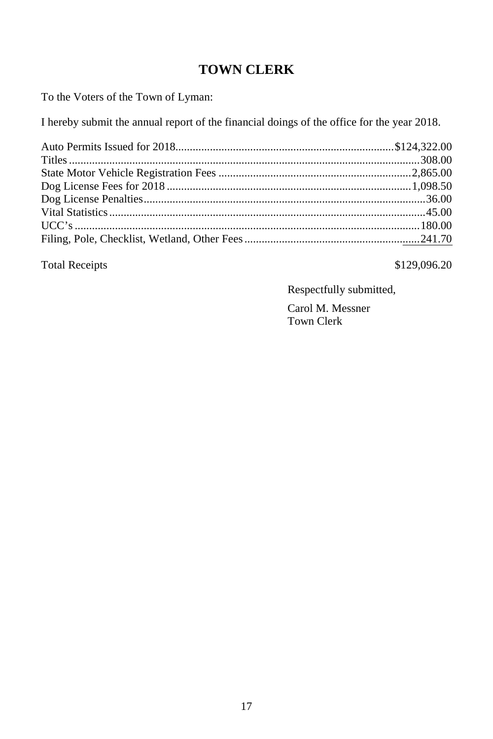## **TOWN CLERK**

To the Voters of the Town of Lyman:

I hereby submit the annual report of the financial doings of the office for the year 2018.

Total Receipts  $$129,096.20$ 

Respectfully submitted,

Carol M. Messner Town Clerk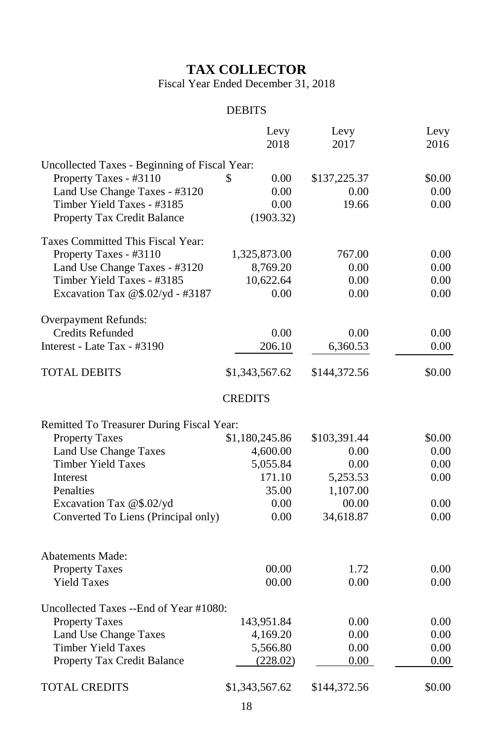## **TAX COLLECTOR**

Fiscal Year Ended December 31, 2018

## DEBITS

|                                               | Levy<br>2018   | Levy<br>2017 | Levy<br>2016 |
|-----------------------------------------------|----------------|--------------|--------------|
| Uncollected Taxes - Beginning of Fiscal Year: |                |              |              |
| Property Taxes - #3110                        | 0.00<br>S      | \$137,225.37 | \$0.00       |
| Land Use Change Taxes - #3120                 | 0.00           | 0.00         | 0.00         |
| Timber Yield Taxes - #3185                    | 0.00           | 19.66        | 0.00         |
| Property Tax Credit Balance                   | (1903.32)      |              |              |
| Taxes Committed This Fiscal Year:             |                |              |              |
| Property Taxes - #3110                        | 1,325,873.00   | 767.00       | 0.00         |
| Land Use Change Taxes - #3120                 | 8,769.20       | 0.00         | 0.00         |
| Timber Yield Taxes - #3185                    | 10,622.64      | 0.00         | 0.00         |
| Excavation Tax @\$.02/yd - #3187              | 0.00           | 0.00         | 0.00         |
| Overpayment Refunds:                          |                |              |              |
| <b>Credits Refunded</b>                       | 0.00           | 0.00         | 0.00         |
| Interest - Late Tax - #3190                   | 206.10         | 6,360.53     | 0.00         |
| <b>TOTAL DEBITS</b>                           | \$1,343,567.62 | \$144,372.56 | \$0.00       |
|                                               | <b>CREDITS</b> |              |              |
| Remitted To Treasurer During Fiscal Year:     |                |              |              |
| <b>Property Taxes</b>                         | \$1,180,245.86 | \$103,391.44 | \$0.00       |
| Land Use Change Taxes                         | 4,600.00       | 0.00         | 0.00         |
| <b>Timber Yield Taxes</b>                     | 5,055.84       | 0.00         | 0.00         |
| Interest                                      | 171.10         | 5,253.53     | 0.00         |
| Penalties                                     | 35.00          | 1,107.00     |              |
| Excavation Tax @\$.02/yd                      | 0.00           | 00.00        | 0.00         |
| Converted To Liens (Principal only)           | 0.00           | 34,618.87    | 0.00         |
|                                               |                |              |              |
| <b>Abatements Made:</b>                       |                |              |              |
| <b>Property Taxes</b>                         | 00.00          | 1.72         | 0.00         |
| <b>Yield Taxes</b>                            | 00.00          | 0.00         | 0.00         |
| Uncollected Taxes --End of Year #1080:        |                |              |              |
| <b>Property Taxes</b>                         | 143,951.84     | 0.00         | 0.00         |
| Land Use Change Taxes                         | 4,169.20       | 0.00         | 0.00         |
| <b>Timber Yield Taxes</b>                     | 5,566.80       | 0.00         | 0.00         |
| Property Tax Credit Balance                   | (228.02)       | $0.00\,$     | 0.00         |
| <b>TOTAL CREDITS</b>                          | \$1,343,567.62 | \$144,372.56 | \$0.00       |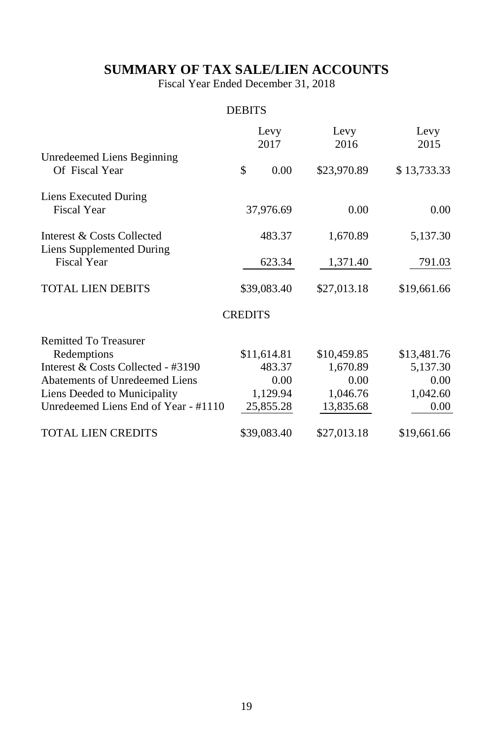## **SUMMARY OF TAX SALE/LIEN ACCOUNTS**

Fiscal Year Ended December 31, 2018

#### **DEBITS**

|                                                 |                | Levy<br>2017 | Levy        | 2016      | Levy<br>2015 |      |
|-------------------------------------------------|----------------|--------------|-------------|-----------|--------------|------|
| Unredeemed Liens Beginning<br>Of Fiscal Year    | \$             | 0.00         | \$23,970.89 |           | \$13,733.33  |      |
| Liens Executed During<br><b>Fiscal Year</b>     |                | 37,976.69    |             | 0.00      |              | 0.00 |
| Interest & Costs Collected                      |                | 483.37       |             | 1,670.89  | 5,137.30     |      |
| Liens Supplemented During<br><b>Fiscal Year</b> |                | 623.34       |             | 1,371.40  | 791.03       |      |
| <b>TOTAL LIEN DEBITS</b>                        | \$39,083.40    |              | \$27,013.18 |           | \$19,661.66  |      |
|                                                 | <b>CREDITS</b> |              |             |           |              |      |
| <b>Remitted To Treasurer</b>                    |                |              |             |           |              |      |
| Redemptions                                     | \$11,614.81    |              | \$10,459.85 |           | \$13,481.76  |      |
| Interest & Costs Collected - #3190              |                | 483.37       |             | 1,670.89  | 5,137.30     |      |
| Abatements of Unredeemed Liens                  |                | 0.00         |             | 0.00      |              | 0.00 |
| Liens Deeded to Municipality                    |                | 1,129.94     |             | 1,046.76  | 1,042.60     |      |
| Unredeemed Liens End of Year - #1110            |                | 25,855.28    |             | 13,835.68 |              | 0.00 |
| <b>TOTAL LIEN CREDITS</b>                       | \$39,083.40    |              | \$27,013.18 |           | \$19,661.66  |      |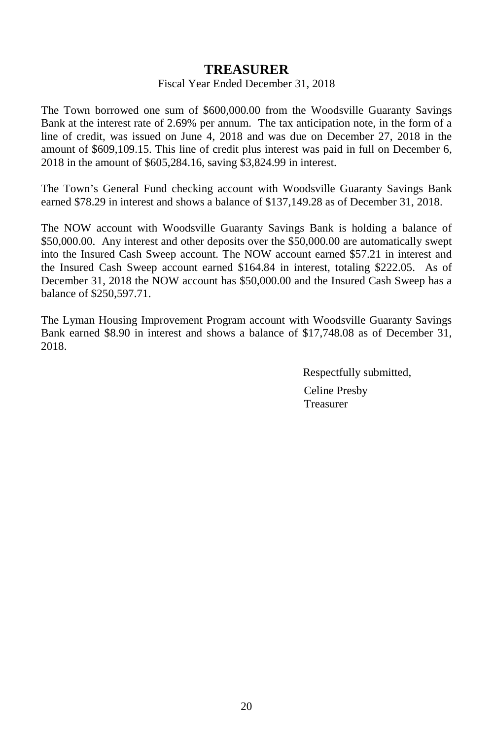### **TREASURER**

#### Fiscal Year Ended December 31, 2018

The Town borrowed one sum of \$600,000.00 from the Woodsville Guaranty Savings Bank at the interest rate of 2.69% per annum. The tax anticipation note, in the form of a line of credit, was issued on June 4, 2018 and was due on December 27, 2018 in the amount of \$609,109.15. This line of credit plus interest was paid in full on December 6, 2018 in the amount of \$605,284.16, saving \$3,824.99 in interest.

The Town's General Fund checking account with Woodsville Guaranty Savings Bank earned \$78.29 in interest and shows a balance of \$137,149.28 as of December 31, 2018.

The NOW account with Woodsville Guaranty Savings Bank is holding a balance of \$50,000.00. Any interest and other deposits over the \$50,000.00 are automatically swept into the Insured Cash Sweep account. The NOW account earned \$57.21 in interest and the Insured Cash Sweep account earned \$164.84 in interest, totaling \$222.05. As of December 31, 2018 the NOW account has \$50,000.00 and the Insured Cash Sweep has a balance of \$250,597.71.

The Lyman Housing Improvement Program account with Woodsville Guaranty Savings Bank earned \$8.90 in interest and shows a balance of \$17,748.08 as of December 31, 2018.

> Respectfully submitted, Celine Presby Treasurer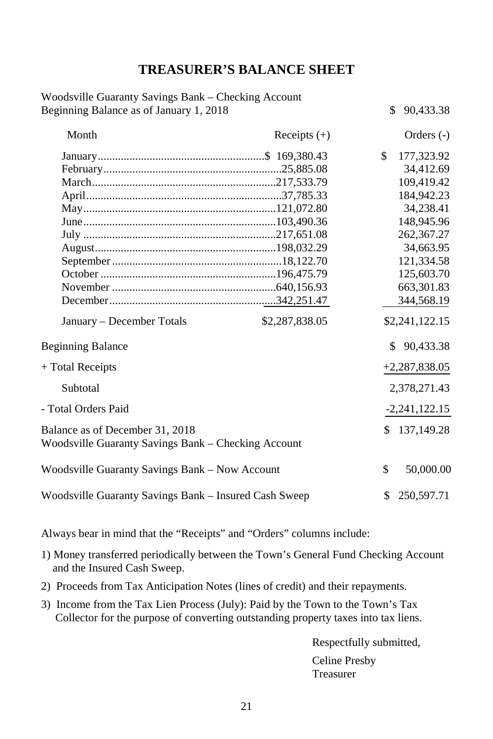## **TREASURER'S BALANCE SHEET**

| Woodsville Guaranty Savings Bank - Checking Account                                    |                |     |                 |
|----------------------------------------------------------------------------------------|----------------|-----|-----------------|
| Beginning Balance as of January 1, 2018                                                |                | \$  | 90,433.38       |
| Month                                                                                  | Receipts $(+)$ |     | Orders $(-)$    |
|                                                                                        |                | \$  | 177,323.92      |
|                                                                                        |                |     | 34,412.69       |
|                                                                                        |                |     | 109,419.42      |
|                                                                                        |                |     | 184,942.23      |
|                                                                                        |                |     | 34,238.41       |
|                                                                                        |                |     | 148,945.96      |
|                                                                                        |                |     | 262,367.27      |
|                                                                                        |                |     | 34,663.95       |
|                                                                                        |                |     | 121,334.58      |
|                                                                                        |                |     | 125,603.70      |
|                                                                                        |                |     | 663,301.83      |
|                                                                                        |                |     | 344,568.19      |
| January – December Totals                                                              | \$2,287,838.05 |     | \$2,241,122.15  |
| <b>Beginning Balance</b>                                                               |                | \$. | 90,433.38       |
| + Total Receipts                                                                       |                |     | $+2,287,838.05$ |
| Subtotal                                                                               |                |     | 2,378,271.43    |
| - Total Orders Paid                                                                    |                |     | $-2,241,122.15$ |
| Balance as of December 31, 2018<br>Woodsville Guaranty Savings Bank - Checking Account |                | \$. | 137,149.28      |
| Woodsville Guaranty Savings Bank - Now Account                                         |                | \$  | 50,000.00       |
| Woodsville Guaranty Savings Bank - Insured Cash Sweep                                  |                | \$. | 250,597.71      |

Always bear in mind that the "Receipts" and "Orders" columns include:

- 1) Money transferred periodically between the Town's General Fund Checking Account and the Insured Cash Sweep.
- 2) Proceeds from Tax Anticipation Notes (lines of credit) and their repayments.
- 3) Income from the Tax Lien Process (July): Paid by the Town to the Town's Tax Collector for the purpose of converting outstanding property taxes into tax liens.

Respectfully submitted, Celine Presby Treasurer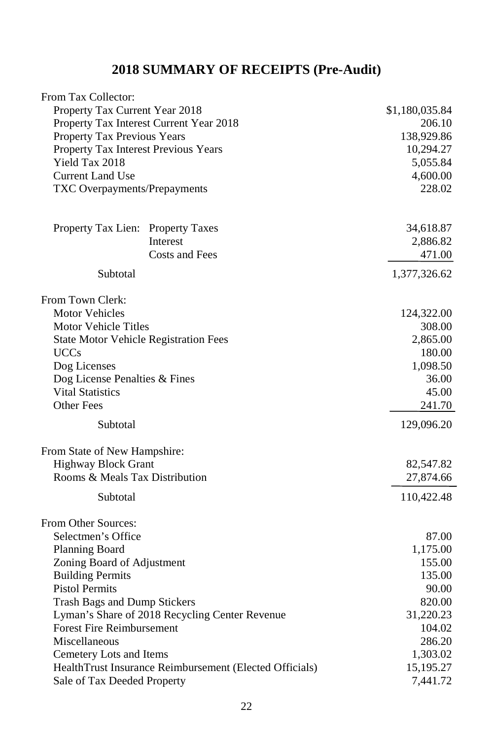## **2018 SUMMARY OF RECEIPTS (Pre-Audit)**

| From Tax Collector:                                                                    |                       |
|----------------------------------------------------------------------------------------|-----------------------|
| Property Tax Current Year 2018                                                         | \$1,180,035.84        |
| Property Tax Interest Current Year 2018                                                | 206.10                |
| Property Tax Previous Years                                                            | 138,929.86            |
| Property Tax Interest Previous Years                                                   | 10,294.27             |
| Yield Tax 2018                                                                         | 5,055.84              |
| <b>Current Land Use</b>                                                                | 4,600.00              |
| TXC Overpayments/Prepayments                                                           | 228.02                |
| Property Tax Lien: Property Taxes                                                      | 34,618.87             |
| Interest                                                                               | 2,886.82              |
| <b>Costs and Fees</b>                                                                  | 471.00                |
| Subtotal                                                                               | 1,377,326.62          |
| From Town Clerk:                                                                       |                       |
| <b>Motor Vehicles</b>                                                                  | 124,322.00            |
| <b>Motor Vehicle Titles</b>                                                            | 308.00                |
| <b>State Motor Vehicle Registration Fees</b>                                           | 2,865.00              |
| <b>UCCs</b>                                                                            | 180.00                |
| Dog Licenses                                                                           | 1,098.50              |
| Dog License Penalties & Fines                                                          | 36.00                 |
| <b>Vital Statistics</b>                                                                | 45.00                 |
| <b>Other Fees</b>                                                                      | 241.70                |
| Subtotal                                                                               | 129,096.20            |
| From State of New Hampshire:                                                           |                       |
| <b>Highway Block Grant</b>                                                             | 82,547.82             |
| Rooms & Meals Tax Distribution                                                         | 27,874.66             |
| Subtotal                                                                               | 110,422.48            |
| From Other Sources:                                                                    |                       |
| Selectmen's Office                                                                     | 87.00                 |
| Planning Board                                                                         | 1,175.00              |
| Zoning Board of Adjustment                                                             | 155.00                |
| <b>Building Permits</b>                                                                | 135.00                |
| <b>Pistol Permits</b>                                                                  | 90.00                 |
| <b>Trash Bags and Dump Stickers</b>                                                    | 820.00                |
| Lyman's Share of 2018 Recycling Center Revenue                                         | 31,220.23             |
| <b>Forest Fire Reimbursement</b>                                                       | 104.02                |
| Miscellaneous                                                                          | 286.20                |
| Cemetery Lots and Items                                                                | 1,303.02              |
| HealthTrust Insurance Reimbursement (Elected Officials)<br>Sale of Tax Deeded Property | 15,195.27<br>7,441.72 |
|                                                                                        |                       |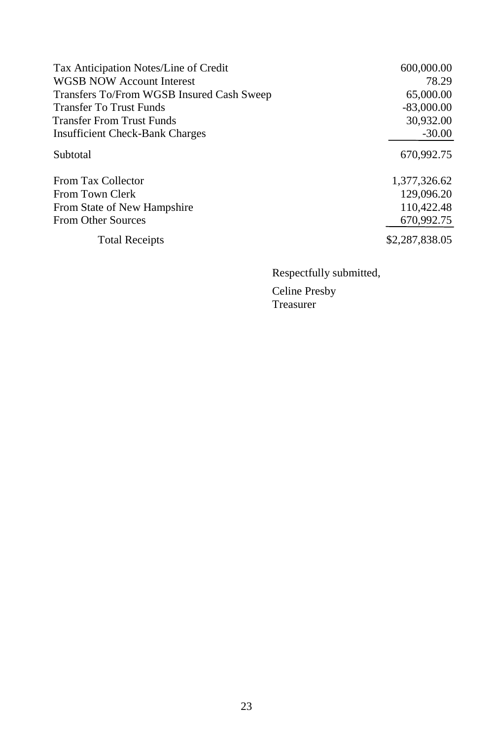| Tax Anticipation Notes/Line of Credit     | 600,000.00     |
|-------------------------------------------|----------------|
| <b>WGSB NOW Account Interest</b>          | 78.29          |
| Transfers To/From WGSB Insured Cash Sweep | 65,000.00      |
| <b>Transfer To Trust Funds</b>            | $-83,000.00$   |
| <b>Transfer From Trust Funds</b>          | 30,932.00      |
| <b>Insufficient Check-Bank Charges</b>    | $-30.00$       |
| Subtotal                                  | 670.992.75     |
| From Tax Collector                        | 1,377,326.62   |
| From Town Clerk                           | 129,096.20     |
| From State of New Hampshire               | 110,422.48     |
| <b>From Other Sources</b>                 | 670,992.75     |
| <b>Total Receipts</b>                     | \$2,287,838,05 |

Respectfully submitted,

Celine Presby Treasurer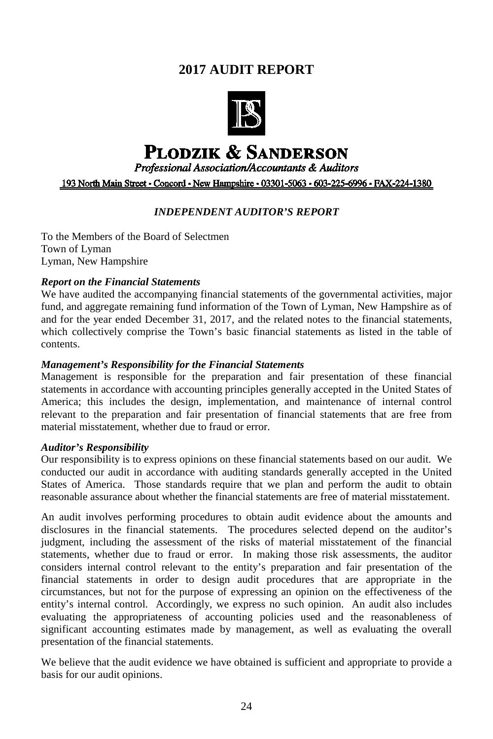## **2017 AUDIT REPORT**



# **PLODZIK & SANDERSON**

**Professional Association/Accountants & Auditors** 

193 North Main Street • Concord • New Hampshire • 03301-5063 • 603-225-6996 • FAX-224-1380

#### *INDEPENDENT AUDITOR'S REPORT*

To the Members of the Board of Selectmen Town of Lyman Lyman, New Hampshire

#### *Report on the Financial Statements*

We have audited the accompanying financial statements of the governmental activities, major fund, and aggregate remaining fund information of the Town of Lyman, New Hampshire as of and for the year ended December 31, 2017, and the related notes to the financial statements, which collectively comprise the Town's basic financial statements as listed in the table of contents.

#### *Management's Responsibility for the Financial Statements*

Management is responsible for the preparation and fair presentation of these financial statements in accordance with accounting principles generally accepted in the United States of America; this includes the design, implementation, and maintenance of internal control relevant to the preparation and fair presentation of financial statements that are free from material misstatement, whether due to fraud or error.

#### *Auditor's Responsibility*

Our responsibility is to express opinions on these financial statements based on our audit. We conducted our audit in accordance with auditing standards generally accepted in the United States of America. Those standards require that we plan and perform the audit to obtain reasonable assurance about whether the financial statements are free of material misstatement.

An audit involves performing procedures to obtain audit evidence about the amounts and disclosures in the financial statements. The procedures selected depend on the auditor's judgment, including the assessment of the risks of material misstatement of the financial statements, whether due to fraud or error. In making those risk assessments, the auditor considers internal control relevant to the entity's preparation and fair presentation of the financial statements in order to design audit procedures that are appropriate in the circumstances, but not for the purpose of expressing an opinion on the effectiveness of the entity's internal control. Accordingly, we express no such opinion. An audit also includes evaluating the appropriateness of accounting policies used and the reasonableness of significant accounting estimates made by management, as well as evaluating the overall presentation of the financial statements.

We believe that the audit evidence we have obtained is sufficient and appropriate to provide a basis for our audit opinions.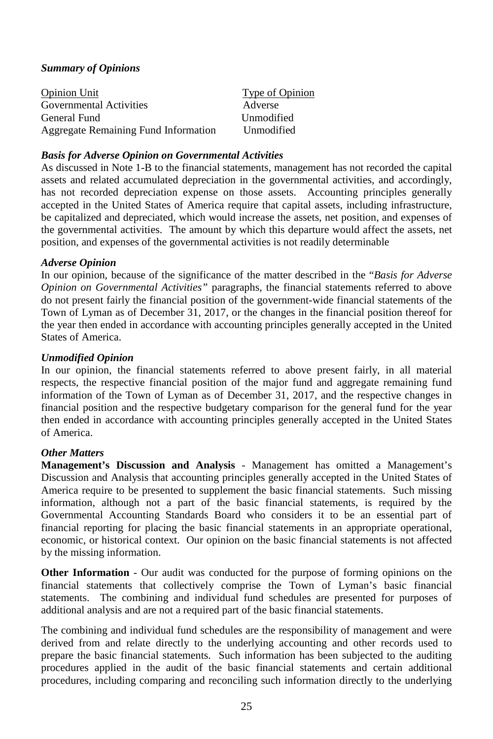#### *Summary of Opinions*

| <b>Opinion Unit</b>                         | Type of Opinion |
|---------------------------------------------|-----------------|
| Governmental Activities                     | Adverse         |
| General Fund                                | Unmodified      |
| <b>Aggregate Remaining Fund Information</b> | Unmodified      |

#### *Basis for Adverse Opinion on Governmental Activities*

As discussed in Note 1-B to the financial statements, management has not recorded the capital assets and related accumulated depreciation in the governmental activities, and accordingly, has not recorded depreciation expense on those assets. Accounting principles generally accepted in the United States of America require that capital assets, including infrastructure, be capitalized and depreciated, which would increase the assets, net position, and expenses of the governmental activities. The amount by which this departure would affect the assets, net position, and expenses of the governmental activities is not readily determinable

#### *Adverse Opinion*

In our opinion, because of the significance of the matter described in the "*Basis for Adverse Opinion on Governmental Activities"* paragraphs, the financial statements referred to above do not present fairly the financial position of the government-wide financial statements of the Town of Lyman as of December 31, 2017, or the changes in the financial position thereof for the year then ended in accordance with accounting principles generally accepted in the United States of America.

#### *Unmodified Opinion*

In our opinion, the financial statements referred to above present fairly, in all material respects, the respective financial position of the major fund and aggregate remaining fund information of the Town of Lyman as of December 31, 2017, and the respective changes in financial position and the respective budgetary comparison for the general fund for the year then ended in accordance with accounting principles generally accepted in the United States of America.

#### *Other Matters*

**Management's Discussion and Analysis** - Management has omitted a Management's Discussion and Analysis that accounting principles generally accepted in the United States of America require to be presented to supplement the basic financial statements. Such missing information, although not a part of the basic financial statements, is required by the Governmental Accounting Standards Board who considers it to be an essential part of financial reporting for placing the basic financial statements in an appropriate operational, economic, or historical context. Our opinion on the basic financial statements is not affected by the missing information.

**Other Information** - Our audit was conducted for the purpose of forming opinions on the financial statements that collectively comprise the Town of Lyman's basic financial statements. The combining and individual fund schedules are presented for purposes of additional analysis and are not a required part of the basic financial statements.

The combining and individual fund schedules are the responsibility of management and were derived from and relate directly to the underlying accounting and other records used to prepare the basic financial statements. Such information has been subjected to the auditing procedures applied in the audit of the basic financial statements and certain additional procedures, including comparing and reconciling such information directly to the underlying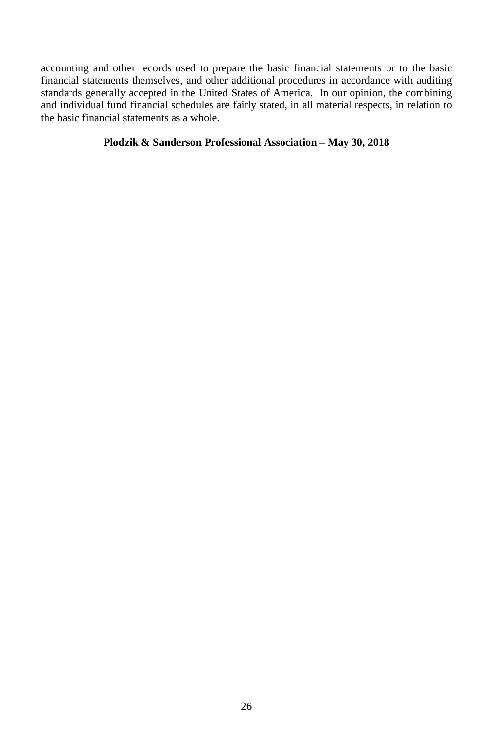accounting and other records used to prepare the basic financial statements or to the basic financial statements themselves, and other additional procedures in accordance with auditing standards generally accepted in the United States of America. In our opinion, the combining and individual fund financial schedules are fairly stated, in all material respects, in relation to the basic financial statements as a whole.

#### **Plodzik & Sanderson Professional Association – May 30, 2018**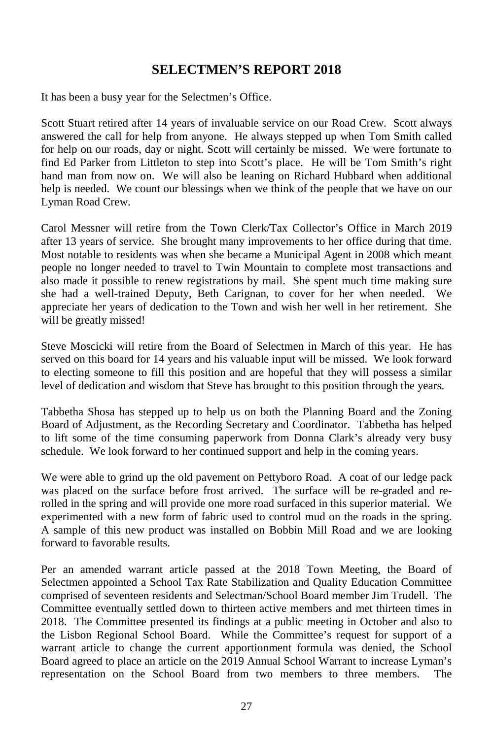## **SELECTMEN'S REPORT 2018**

It has been a busy year for the Selectmen's Office.

Scott Stuart retired after 14 years of invaluable service on our Road Crew. Scott always answered the call for help from anyone. He always stepped up when Tom Smith called for help on our roads, day or night. Scott will certainly be missed. We were fortunate to find Ed Parker from Littleton to step into Scott's place. He will be Tom Smith's right hand man from now on. We will also be leaning on Richard Hubbard when additional help is needed. We count our blessings when we think of the people that we have on our Lyman Road Crew.

Carol Messner will retire from the Town Clerk/Tax Collector's Office in March 2019 after 13 years of service. She brought many improvements to her office during that time. Most notable to residents was when she became a Municipal Agent in 2008 which meant people no longer needed to travel to Twin Mountain to complete most transactions and also made it possible to renew registrations by mail. She spent much time making sure she had a well-trained Deputy, Beth Carignan, to cover for her when needed. We appreciate her years of dedication to the Town and wish her well in her retirement. She will be greatly missed!

Steve Moscicki will retire from the Board of Selectmen in March of this year. He has served on this board for 14 years and his valuable input will be missed. We look forward to electing someone to fill this position and are hopeful that they will possess a similar level of dedication and wisdom that Steve has brought to this position through the years.

Tabbetha Shosa has stepped up to help us on both the Planning Board and the Zoning Board of Adjustment, as the Recording Secretary and Coordinator. Tabbetha has helped to lift some of the time consuming paperwork from Donna Clark's already very busy schedule. We look forward to her continued support and help in the coming years.

We were able to grind up the old pavement on Pettyboro Road. A coat of our ledge pack was placed on the surface before frost arrived. The surface will be re-graded and rerolled in the spring and will provide one more road surfaced in this superior material. We experimented with a new form of fabric used to control mud on the roads in the spring. A sample of this new product was installed on Bobbin Mill Road and we are looking forward to favorable results.

Per an amended warrant article passed at the 2018 Town Meeting, the Board of Selectmen appointed a School Tax Rate Stabilization and Quality Education Committee comprised of seventeen residents and Selectman/School Board member Jim Trudell. The Committee eventually settled down to thirteen active members and met thirteen times in 2018. The Committee presented its findings at a public meeting in October and also to the Lisbon Regional School Board. While the Committee's request for support of a warrant article to change the current apportionment formula was denied, the School Board agreed to place an article on the 2019 Annual School Warrant to increase Lyman's representation on the School Board from two members to three members. The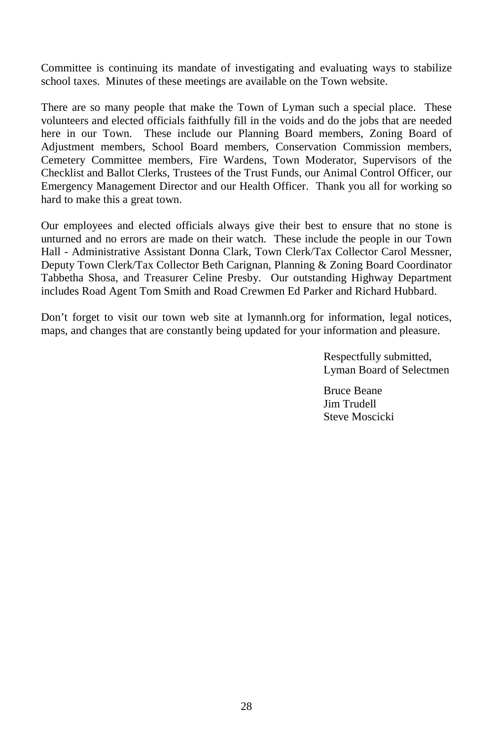Committee is continuing its mandate of investigating and evaluating ways to stabilize school taxes. Minutes of these meetings are available on the Town website.

There are so many people that make the Town of Lyman such a special place. These volunteers and elected officials faithfully fill in the voids and do the jobs that are needed here in our Town. These include our Planning Board members, Zoning Board of Adjustment members, School Board members, Conservation Commission members, Cemetery Committee members, Fire Wardens, Town Moderator, Supervisors of the Checklist and Ballot Clerks, Trustees of the Trust Funds, our Animal Control Officer, our Emergency Management Director and our Health Officer. Thank you all for working so hard to make this a great town.

Our employees and elected officials always give their best to ensure that no stone is unturned and no errors are made on their watch. These include the people in our Town Hall - Administrative Assistant Donna Clark, Town Clerk/Tax Collector Carol Messner, Deputy Town Clerk/Tax Collector Beth Carignan, Planning & Zoning Board Coordinator Tabbetha Shosa, and Treasurer Celine Presby. Our outstanding Highway Department includes Road Agent Tom Smith and Road Crewmen Ed Parker and Richard Hubbard.

Don't forget to visit our town web site at lymannh.org for information, legal notices, maps, and changes that are constantly being updated for your information and pleasure.

> Respectfully submitted, Lyman Board of Selectmen

Bruce Beane Jim Trudell Steve Moscicki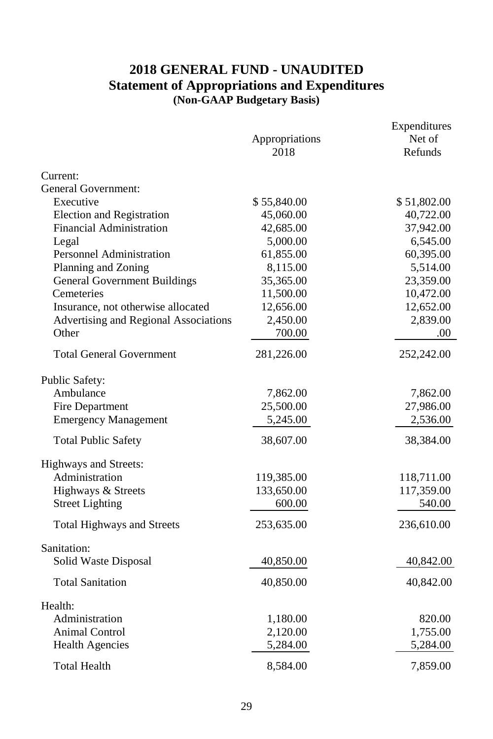## **2018 GENERAL FUND - UNAUDITED Statement of Appropriations and Expenditures (Non-GAAP Budgetary Basis)**

|                                       | Appropriations<br>2018 | Expenditures<br>Net of<br>Refunds |
|---------------------------------------|------------------------|-----------------------------------|
| Current:                              |                        |                                   |
| General Government:                   |                        |                                   |
| Executive                             | \$55,840.00            | \$51,802.00                       |
| Election and Registration             | 45,060.00              | 40,722.00                         |
| Financial Administration              | 42,685.00              | 37,942.00                         |
| Legal                                 | 5,000.00               | 6,545.00                          |
| <b>Personnel Administration</b>       | 61,855.00              | 60,395.00                         |
| Planning and Zoning                   | 8,115.00               | 5,514.00                          |
| <b>General Government Buildings</b>   | 35,365.00              | 23,359.00                         |
| Cemeteries                            | 11,500.00              | 10,472.00                         |
| Insurance, not otherwise allocated    | 12,656.00              | 12,652.00                         |
| Advertising and Regional Associations | 2,450.00               | 2,839.00                          |
| Other                                 | 700.00                 | .00.                              |
| <b>Total General Government</b>       | 281,226.00             | 252,242.00                        |
| Public Safety:                        |                        |                                   |
| Ambulance                             | 7,862.00               | 7,862.00                          |
| Fire Department                       | 25,500.00              | 27,986.00                         |
| <b>Emergency Management</b>           | 5,245.00               | 2,536.00                          |
| <b>Total Public Safety</b>            | 38,607.00              | 38,384.00                         |
| Highways and Streets:                 |                        |                                   |
| Administration                        | 119,385.00             | 118,711.00                        |
| Highways & Streets                    | 133,650.00             | 117,359.00                        |
| <b>Street Lighting</b>                | 600.00                 | 540.00                            |
| <b>Total Highways and Streets</b>     | 253,635.00             | 236,610.00                        |
| Sanitation:                           |                        |                                   |
| Solid Waste Disposal                  | 40,850.00              | 40,842.00                         |
|                                       |                        |                                   |
| <b>Total Sanitation</b>               | 40,850.00              | 40,842.00                         |
| Health:                               |                        |                                   |
| Administration                        | 1,180.00               | 820.00                            |
| Animal Control                        | 2,120.00               | 1,755.00                          |
| <b>Health Agencies</b>                | 5,284.00               | 5,284.00                          |
| <b>Total Health</b>                   | 8,584.00               | 7,859.00                          |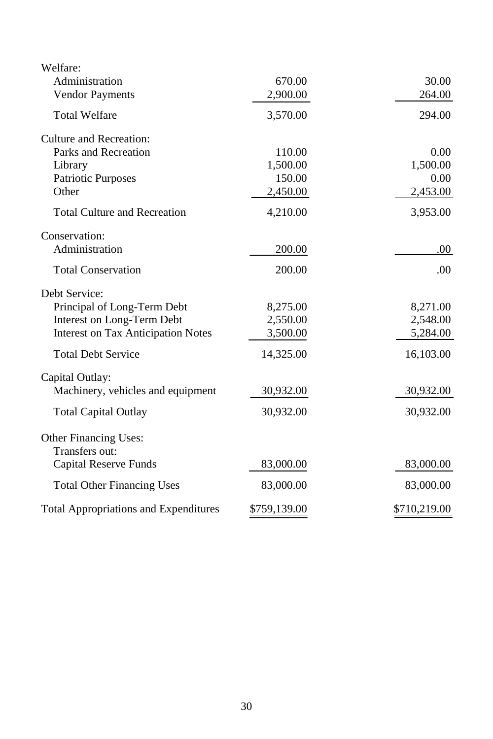| Welfare:                                     |              |              |
|----------------------------------------------|--------------|--------------|
| Administration                               | 670.00       | 30.00        |
| <b>Vendor Payments</b>                       | 2,900.00     | 264.00       |
| <b>Total Welfare</b>                         | 3,570.00     | 294.00       |
| Culture and Recreation:                      |              |              |
| Parks and Recreation                         | 110.00       | 0.00         |
| Library                                      | 1,500.00     | 1,500.00     |
| <b>Patriotic Purposes</b>                    | 150.00       | 0.00         |
| Other                                        | 2,450.00     | 2,453.00     |
| <b>Total Culture and Recreation</b>          | 4,210.00     | 3,953.00     |
| Conservation:                                |              |              |
| Administration                               | 200.00       | .00.         |
| <b>Total Conservation</b>                    | 200.00       | .00          |
| Debt Service:                                |              |              |
| Principal of Long-Term Debt                  | 8,275.00     | 8,271.00     |
| Interest on Long-Term Debt                   | 2,550.00     | 2,548.00     |
| <b>Interest on Tax Anticipation Notes</b>    | 3,500.00     | 5,284.00     |
| <b>Total Debt Service</b>                    | 14,325.00    | 16,103.00    |
| Capital Outlay:                              |              |              |
| Machinery, vehicles and equipment            | 30,932.00    | 30,932.00    |
| <b>Total Capital Outlay</b>                  | 30,932.00    | 30,932.00    |
| Other Financing Uses:                        |              |              |
| Transfers out:                               |              |              |
| Capital Reserve Funds                        | 83,000.00    | 83,000.00    |
| <b>Total Other Financing Uses</b>            | 83,000.00    | 83,000.00    |
| <b>Total Appropriations and Expenditures</b> | \$759,139.00 | \$710,219.00 |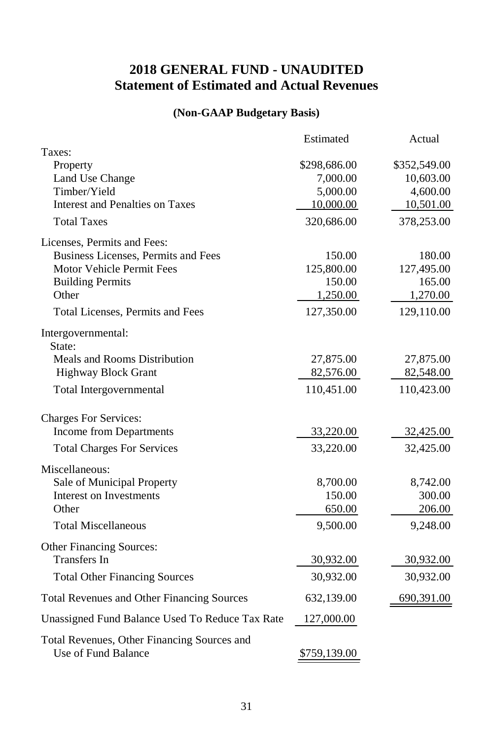## **2018 GENERAL FUND - UNAUDITED Statement of Estimated and Actual Revenues**

## **(Non-GAAP Budgetary Basis)**

|                                                                    | Estimated    | Actual       |
|--------------------------------------------------------------------|--------------|--------------|
| Taxes:                                                             |              |              |
| Property                                                           | \$298,686.00 | \$352,549.00 |
| Land Use Change                                                    | 7,000.00     | 10,603.00    |
| Timber/Yield                                                       | 5,000.00     | 4,600.00     |
| <b>Interest and Penalties on Taxes</b>                             | 10,000.00    | 10,501.00    |
| <b>Total Taxes</b>                                                 | 320,686.00   | 378,253.00   |
| Licenses, Permits and Fees:                                        |              |              |
| Business Licenses, Permits and Fees                                | 150.00       | 180.00       |
| Motor Vehicle Permit Fees                                          | 125,800.00   | 127,495.00   |
| <b>Building Permits</b>                                            | 150.00       | 165.00       |
| Other                                                              | 1,250.00     | 1,270.00     |
| Total Licenses, Permits and Fees                                   | 127,350.00   | 129,110.00   |
| Intergovernmental:<br>State:                                       |              |              |
| <b>Meals and Rooms Distribution</b>                                | 27,875.00    | 27,875.00    |
| <b>Highway Block Grant</b>                                         | 82,576.00    | 82,548.00    |
| Total Intergovernmental                                            | 110,451.00   | 110,423.00   |
|                                                                    |              |              |
| <b>Charges For Services:</b>                                       |              |              |
| Income from Departments                                            | 33,220.00    | 32,425.00    |
| <b>Total Charges For Services</b>                                  | 33,220.00    | 32,425.00    |
| Miscellaneous:                                                     |              |              |
| Sale of Municipal Property                                         | 8,700.00     | 8,742.00     |
| <b>Interest on Investments</b>                                     | 150.00       | 300.00       |
| Other                                                              | 650.00       | 206.00       |
| <b>Total Miscellaneous</b>                                         | 9,500.00     | 9,248.00     |
| Other Financing Sources:                                           |              |              |
| <b>Transfers</b> In                                                | 30,932.00    | 30,932.00    |
| <b>Total Other Financing Sources</b>                               | 30,932.00    | 30,932.00    |
| <b>Total Revenues and Other Financing Sources</b>                  | 632,139.00   | 690,391.00   |
| Unassigned Fund Balance Used To Reduce Tax Rate                    | 127,000.00   |              |
| Total Revenues, Other Financing Sources and<br>Use of Fund Balance | \$759,139.00 |              |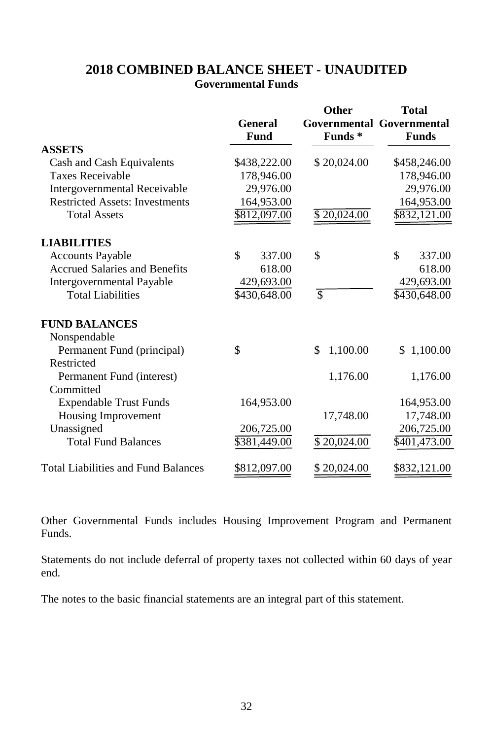## **2018 COMBINED BALANCE SHEET - UNAUDITED Governmental Funds**

|                                            | <b>General</b><br>Fund | Other<br>Funds <sup>*</sup> | Total<br><b>Governmental Governmental</b><br><b>Funds</b> |
|--------------------------------------------|------------------------|-----------------------------|-----------------------------------------------------------|
| <b>ASSETS</b>                              |                        |                             |                                                           |
| Cash and Cash Equivalents                  | \$438,222.00           | \$20,024.00                 | \$458,246.00                                              |
| <b>Taxes Receivable</b>                    | 178,946.00             |                             | 178,946.00                                                |
| Intergovernmental Receivable               | 29,976.00              |                             | 29,976.00                                                 |
| <b>Restricted Assets: Investments</b>      | 164,953.00             |                             | 164,953.00                                                |
| <b>Total Assets</b>                        | \$812,097.00           | \$20,024.00                 | \$832,121.00                                              |
| <b>LIABILITIES</b>                         |                        |                             |                                                           |
| <b>Accounts Payable</b>                    | \$<br>337.00           | \$                          | \$<br>337.00                                              |
| <b>Accrued Salaries and Benefits</b>       | 618.00                 |                             | 618.00                                                    |
| <b>Intergovernmental Payable</b>           | 429,693.00             |                             | 429,693.00                                                |
| <b>Total Liabilities</b>                   | \$430,648.00           | \$                          | \$430,648.00                                              |
| <b>FUND BALANCES</b>                       |                        |                             |                                                           |
| Nonspendable                               |                        |                             |                                                           |
| Permanent Fund (principal)                 | \$                     | \$<br>1,100.00              | \$1,100.00                                                |
| Restricted                                 |                        |                             |                                                           |
| Permanent Fund (interest)                  |                        | 1,176.00                    | 1,176.00                                                  |
| Committed                                  |                        |                             |                                                           |
| <b>Expendable Trust Funds</b>              | 164,953.00             |                             | 164,953.00                                                |
| Housing Improvement                        |                        | 17,748.00                   | 17,748.00                                                 |
| Unassigned                                 | 206,725.00             |                             | 206,725.00                                                |
| <b>Total Fund Balances</b>                 | \$381,449.00           | \$20,024.00                 | $\overline{$401,473.00}$                                  |
| <b>Total Liabilities and Fund Balances</b> | \$812,097.00           | \$20,024.00                 | \$832,121.00                                              |

Other Governmental Funds includes Housing Improvement Program and Permanent Funds.

Statements do not include deferral of property taxes not collected within 60 days of year end.

The notes to the basic financial statements are an integral part of this statement.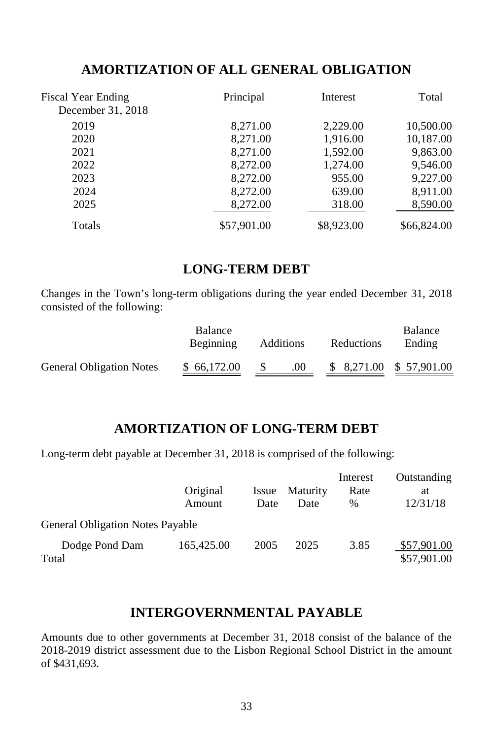## **AMORTIZATION OF ALL GENERAL OBLIGATION**

| <b>Fiscal Year Ending</b><br>December 31, 2018 | Principal   | Interest   | Total       |
|------------------------------------------------|-------------|------------|-------------|
| 2019                                           | 8,271.00    | 2,229.00   | 10,500.00   |
| 2020                                           | 8,271.00    | 1,916.00   | 10,187.00   |
| 2021                                           | 8,271.00    | 1,592.00   | 9,863.00    |
| 2022                                           | 8,272.00    | 1,274.00   | 9,546.00    |
| 2023                                           | 8,272.00    | 955.00     | 9,227.00    |
| 2024                                           | 8,272.00    | 639.00     | 8,911.00    |
| 2025                                           | 8,272.00    | 318.00     | 8,590.00    |
| Totals                                         | \$57,901.00 | \$8,923.00 | \$66,824.00 |

## **LONG-TERM DEBT**

Changes in the Town's long-term obligations during the year ended December 31, 2018 consisted of the following:

|                                 | <b>Balance</b><br>Beginning | Additions | Reductions | <b>Balance</b><br>Ending |
|---------------------------------|-----------------------------|-----------|------------|--------------------------|
| <b>General Obligation Notes</b> | \$66,172.00                 | .00.      |            | $$8,271.00 \$57,901.00$  |

## **AMORTIZATION OF LONG-TERM DEBT**

Long-term debt payable at December 31, 2018 is comprised of the following:

|                                         | Original<br>Amount | Issue<br>Date | Maturity<br>Date | Interest<br>Rate<br>$\%$ | Outstanding<br>at<br>12/31/18 |
|-----------------------------------------|--------------------|---------------|------------------|--------------------------|-------------------------------|
| <b>General Obligation Notes Payable</b> |                    |               |                  |                          |                               |
| Dodge Pond Dam<br>Total                 | 165,425.00         | 2005          | 2025             | 3.85                     | \$57,901.00<br>\$57,901.00    |

## **INTERGOVERNMENTAL PAYABLE**

Amounts due to other governments at December 31, 2018 consist of the balance of the 2018-2019 district assessment due to the Lisbon Regional School District in the amount of \$431,693.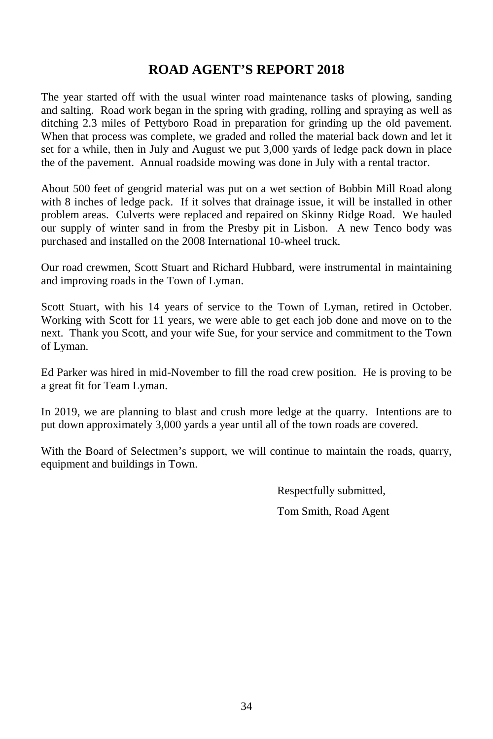## **ROAD AGENT'S REPORT 2018**

The year started off with the usual winter road maintenance tasks of plowing, sanding and salting. Road work began in the spring with grading, rolling and spraying as well as ditching 2.3 miles of Pettyboro Road in preparation for grinding up the old pavement. When that process was complete, we graded and rolled the material back down and let it set for a while, then in July and August we put 3,000 yards of ledge pack down in place the of the pavement. Annual roadside mowing was done in July with a rental tractor.

About 500 feet of geogrid material was put on a wet section of Bobbin Mill Road along with 8 inches of ledge pack. If it solves that drainage issue, it will be installed in other problem areas. Culverts were replaced and repaired on Skinny Ridge Road. We hauled our supply of winter sand in from the Presby pit in Lisbon. A new Tenco body was purchased and installed on the 2008 International 10-wheel truck.

Our road crewmen, Scott Stuart and Richard Hubbard, were instrumental in maintaining and improving roads in the Town of Lyman.

Scott Stuart, with his 14 years of service to the Town of Lyman, retired in October. Working with Scott for 11 years, we were able to get each job done and move on to the next. Thank you Scott, and your wife Sue, for your service and commitment to the Town of Lyman.

Ed Parker was hired in mid-November to fill the road crew position. He is proving to be a great fit for Team Lyman.

In 2019, we are planning to blast and crush more ledge at the quarry. Intentions are to put down approximately 3,000 yards a year until all of the town roads are covered.

With the Board of Selectmen's support, we will continue to maintain the roads, quarry, equipment and buildings in Town.

> Respectfully submitted, Tom Smith, Road Agent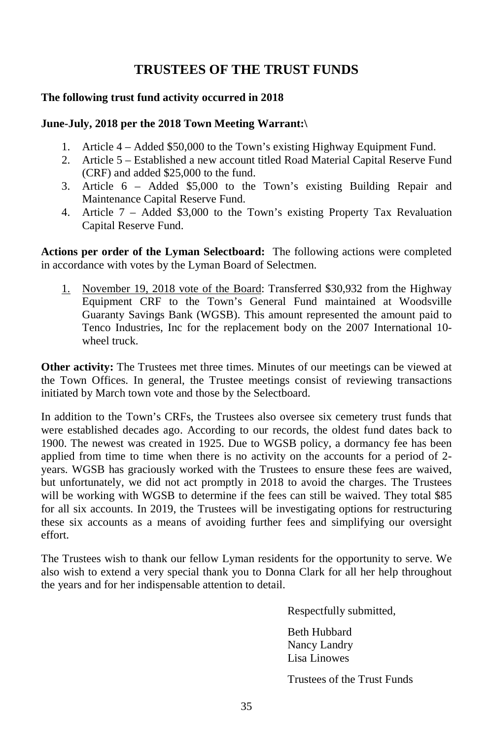## **TRUSTEES OF THE TRUST FUNDS**

### **The following trust fund activity occurred in 2018**

#### **June-July, 2018 per the 2018 Town Meeting Warrant:\**

- 1. Article 4 Added \$50,000 to the Town's existing Highway Equipment Fund.
- 2. Article 5 Established a new account titled Road Material Capital Reserve Fund (CRF) and added \$25,000 to the fund.
- 3. Article 6 Added \$5,000 to the Town's existing Building Repair and Maintenance Capital Reserve Fund.
- 4. Article 7 Added \$3,000 to the Town's existing Property Tax Revaluation Capital Reserve Fund.

**Actions per order of the Lyman Selectboard:** The following actions were completed in accordance with votes by the Lyman Board of Selectmen.

1. November 19, 2018 vote of the Board: Transferred \$30,932 from the Highway Equipment CRF to the Town's General Fund maintained at Woodsville Guaranty Savings Bank (WGSB). This amount represented the amount paid to Tenco Industries, Inc for the replacement body on the 2007 International 10 wheel truck.

**Other activity:** The Trustees met three times. Minutes of our meetings can be viewed at the Town Offices. In general, the Trustee meetings consist of reviewing transactions initiated by March town vote and those by the Selectboard.

In addition to the Town's CRFs, the Trustees also oversee six cemetery trust funds that were established decades ago. According to our records, the oldest fund dates back to 1900. The newest was created in 1925. Due to WGSB policy, a dormancy fee has been applied from time to time when there is no activity on the accounts for a period of 2 years. WGSB has graciously worked with the Trustees to ensure these fees are waived, but unfortunately, we did not act promptly in 2018 to avoid the charges. The Trustees will be working with WGSB to determine if the fees can still be waived. They total \$85 for all six accounts. In 2019, the Trustees will be investigating options for restructuring these six accounts as a means of avoiding further fees and simplifying our oversight effort.

The Trustees wish to thank our fellow Lyman residents for the opportunity to serve. We also wish to extend a very special thank you to Donna Clark for all her help throughout the years and for her indispensable attention to detail.

Respectfully submitted,

Beth Hubbard Nancy Landry Lisa Linowes

Trustees of the Trust Funds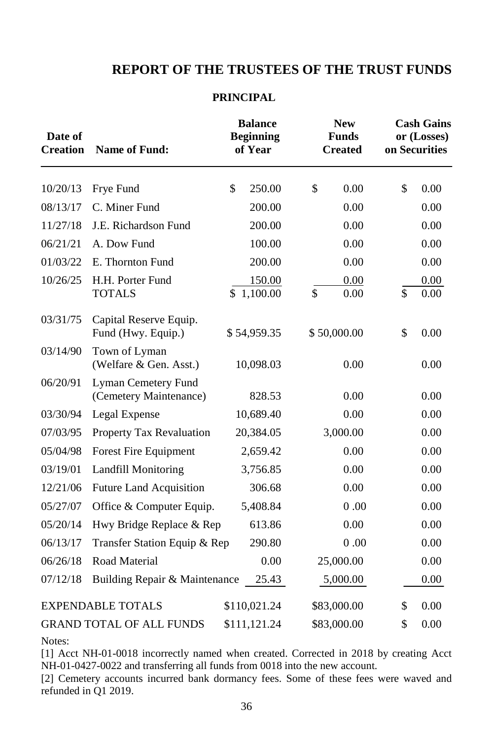## **REPORT OF THE TRUSTEES OF THE TRUST FUNDS**

#### **PRINCIPAL**

| Date of<br><b>Creation</b> | <b>Name of Fund:</b>                          | <b>Balance</b><br><b>Beginning</b><br>of Year | <b>New</b><br><b>Funds</b><br><b>Created</b> | <b>Cash Gains</b><br>or (Losses)<br>on Securities |              |
|----------------------------|-----------------------------------------------|-----------------------------------------------|----------------------------------------------|---------------------------------------------------|--------------|
| 10/20/13                   | Frye Fund                                     | \$<br>250.00                                  | \$<br>0.00                                   | \$                                                | 0.00         |
| 08/13/17                   | C. Miner Fund                                 | 200.00                                        | 0.00                                         |                                                   | 0.00         |
| 11/27/18                   | J.E. Richardson Fund                          | 200.00                                        | 0.00                                         |                                                   | 0.00         |
| 06/21/21                   | A. Dow Fund                                   | 100.00                                        | 0.00                                         |                                                   | 0.00         |
| 01/03/22                   | E. Thornton Fund                              | 200.00                                        | 0.00                                         |                                                   | 0.00         |
| 10/26/25                   | H.H. Porter Fund<br><b>TOTALS</b>             | 150.00<br>\$<br>1,100.00                      | 0.00<br>\$<br>0.00                           | \$                                                | 0.00<br>0.00 |
| 03/31/75                   | Capital Reserve Equip.<br>Fund (Hwy. Equip.)  | \$54,959.35                                   | \$50,000.00                                  | \$                                                | 0.00         |
| 03/14/90                   | Town of Lyman<br>(Welfare & Gen. Asst.)       | 10,098.03                                     | 0.00                                         |                                                   | 0.00         |
| 06/20/91                   | Lyman Cemetery Fund<br>(Cemetery Maintenance) | 828.53                                        | 0.00                                         |                                                   | 0.00         |
| 03/30/94                   | Legal Expense                                 | 10,689.40                                     | 0.00                                         |                                                   | 0.00         |
| 07/03/95                   | Property Tax Revaluation                      | 20,384.05                                     | 3,000.00                                     |                                                   | 0.00         |
| 05/04/98                   | Forest Fire Equipment                         | 2,659.42                                      | 0.00                                         |                                                   | 0.00         |
| 03/19/01                   | <b>Landfill Monitoring</b>                    | 3,756.85                                      | 0.00                                         |                                                   | 0.00         |
| 12/21/06                   | <b>Future Land Acquisition</b>                | 306.68                                        | 0.00                                         |                                                   | 0.00         |
| 05/27/07                   | Office & Computer Equip.                      | 5,408.84                                      | 0.00                                         |                                                   | 0.00         |
| 05/20/14                   | Hwy Bridge Replace & Rep                      | 613.86                                        | 0.00                                         |                                                   | 0.00         |
| 06/13/17                   | Transfer Station Equip & Rep                  | 290.80                                        | 0.00                                         |                                                   | 0.00         |
| 06/26/18                   | Road Material                                 | 0.00                                          | 25,000.00                                    |                                                   | 0.00         |
| 07/12/18                   | Building Repair & Maintenance                 | 25.43                                         | 5,000.00                                     |                                                   | 0.00         |
|                            | <b>EXPENDABLE TOTALS</b>                      | \$110,021.24                                  | \$83,000.00                                  | \$                                                | 0.00         |
|                            | <b>GRAND TOTAL OF ALL FUNDS</b>               | \$111,121.24                                  | \$83,000.00                                  | \$                                                | 0.00         |

Notes:

[1] Acct NH-01-0018 incorrectly named when created. Corrected in 2018 by creating Acct NH-01-0427-0022 and transferring all funds from 0018 into the new account.

[2] Cemetery accounts incurred bank dormancy fees. Some of these fees were waved and refunded in Q1 2019.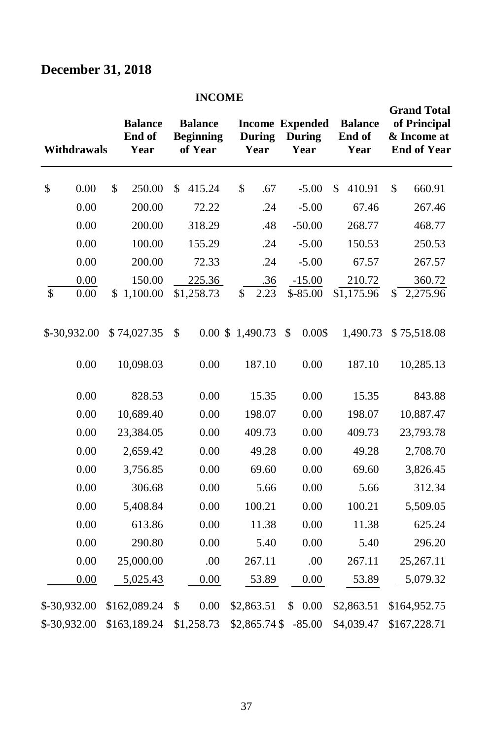# **December 31, 2018**

### **INCOME**

|                 | <b>Withdrawals</b> | <b>Balance</b><br>End of<br>Year | <b>Balance</b><br><b>Beginning</b><br>of Year |    | <b>During</b><br>Year | <b>Income Expended</b><br><b>During</b><br>Year | <b>Balance</b><br>End of<br>Year | <b>Grand Total</b><br>of Principal<br>& Income at<br><b>End of Year</b> |
|-----------------|--------------------|----------------------------------|-----------------------------------------------|----|-----------------------|-------------------------------------------------|----------------------------------|-------------------------------------------------------------------------|
| \$              | 0.00               | \$<br>250.00                     | \$<br>415.24                                  | \$ | .67                   | $-5.00$                                         | \$<br>410.91                     | \$<br>660.91                                                            |
|                 | 0.00               | 200.00                           | 72.22                                         |    | .24                   | $-5.00$                                         | 67.46                            | 267.46                                                                  |
|                 | 0.00               | 200.00                           | 318.29                                        |    | .48                   | $-50.00$                                        | 268.77                           | 468.77                                                                  |
|                 | 0.00               | 100.00                           | 155.29                                        |    | .24                   | $-5.00$                                         | 150.53                           | 250.53                                                                  |
|                 | 0.00               | 200.00                           | 72.33                                         |    | .24                   | $-5.00$                                         | 67.57                            | 267.57                                                                  |
| $\overline{\$}$ | 0.00<br>0.00       | \$<br>150.00<br>1,100.00         | 225.36<br>\$1,258.73                          | \$ | .36<br>2.23           | $-15.00$<br>$$ -85.00$                          | 210.72<br>$\sqrt{1,175.96}$      | \$<br>360.72<br>2,275.96                                                |
|                 | \$-30,932.00       | \$74,027.35                      | \$                                            |    | 0.00 \$ 1,490.73      | \$<br>0.00\$                                    | 1,490.73                         | \$75,518.08                                                             |
|                 | 0.00               | 10,098.03                        | 0.00                                          |    | 187.10                | 0.00                                            | 187.10                           | 10,285.13                                                               |
|                 | 0.00               | 828.53                           | 0.00                                          |    | 15.35                 | 0.00                                            | 15.35                            | 843.88                                                                  |
|                 | 0.00               | 10,689.40                        | 0.00                                          |    | 198.07                | 0.00                                            | 198.07                           | 10,887.47                                                               |
|                 | 0.00               | 23,384.05                        | 0.00                                          |    | 409.73                | 0.00                                            | 409.73                           | 23,793.78                                                               |
|                 | 0.00               | 2,659.42                         | 0.00                                          |    | 49.28                 | 0.00                                            | 49.28                            | 2,708.70                                                                |
|                 | 0.00               | 3,756.85                         | 0.00                                          |    | 69.60                 | 0.00                                            | 69.60                            | 3,826.45                                                                |
|                 | 0.00               | 306.68                           | 0.00                                          |    | 5.66                  | 0.00                                            | 5.66                             | 312.34                                                                  |
|                 | 0.00               | 5,408.84                         | 0.00                                          |    | 100.21                | 0.00                                            | 100.21                           | 5,509.05                                                                |
|                 | 0.00               | 613.86                           | 0.00                                          |    | 11.38                 | 0.00                                            | 11.38                            | 625.24                                                                  |
|                 | 0.00               | 290.80                           | 0.00                                          |    | 5.40                  | 0.00                                            | 5.40                             | 296.20                                                                  |
|                 | 0.00               | 25,000.00                        | .00                                           |    | 267.11                | .00                                             | 267.11                           | 25,267.11                                                               |
|                 | 0.00               | 5,025.43                         | 0.00                                          |    | 53.89                 | 0.00                                            | 53.89                            | 5,079.32                                                                |
|                 | \$-30,932.00       | \$162,089.24                     | \$<br>0.00                                    |    | \$2,863.51            | \$<br>0.00                                      | \$2,863.51                       | \$164,952.75                                                            |
|                 | \$-30,932.00       | \$163,189.24                     | \$1,258.73                                    |    | \$2,865.74 \$         | $-85.00$                                        | \$4,039.47                       | \$167,228.71                                                            |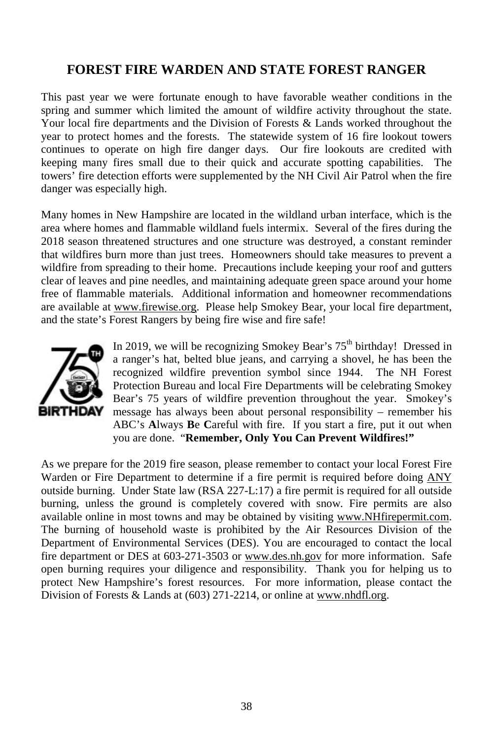## **FOREST FIRE WARDEN AND STATE FOREST RANGER**

This past year we were fortunate enough to have favorable weather conditions in the spring and summer which limited the amount of wildfire activity throughout the state. Your local fire departments and the Division of Forests & Lands worked throughout the year to protect homes and the forests. The statewide system of 16 fire lookout towers continues to operate on high fire danger days. Our fire lookouts are credited with keeping many fires small due to their quick and accurate spotting capabilities. The towers' fire detection efforts were supplemented by the NH Civil Air Patrol when the fire danger was especially high.

Many homes in New Hampshire are located in the wildland urban interface, which is the area where homes and flammable wildland fuels intermix. Several of the fires during the 2018 season threatened structures and one structure was destroyed, a constant reminder that wildfires burn more than just trees. Homeowners should take measures to prevent a wildfire from spreading to their home. Precautions include keeping your roof and gutters clear of leaves and pine needles, and maintaining adequate green space around your home free of flammable materials. Additional information and homeowner recommendations are available at [www.firewise.org.](http://www.firewise.org/) Please help Smokey Bear, your local fire department, and the state's Forest Rangers by being fire wise and fire safe!



In 2019, we will be recognizing Smokey Bear's  $75<sup>th</sup>$  birthday! Dressed in a ranger's hat, belted blue jeans, and carrying a shovel, he has been the recognized wildfire prevention symbol since 1944. The NH Forest Protection Bureau and local Fire Departments will be celebrating Smokey Bear's 75 years of wildfire prevention throughout the year. Smokey's message has always been about personal responsibility – remember his ABC's **A**lways **B**e **C**areful with fire. If you start a fire, put it out when you are done. "**Remember, Only You Can Prevent Wildfires!"**

As we prepare for the 2019 fire season, please remember to contact your local Forest Fire Warden or Fire Department to determine if a fire permit is required before doing ANY outside burning. Under State law (RSA 227-L:17) a fire permit is required for all outside burning, unless the ground is completely covered with snow. Fire permits are also available online in most towns and may be obtained by visiting [www.NHfirepermit.com.](http://www.nhfirepermit.com/)  The burning of household waste is prohibited by the Air Resources Division of the Department of Environmental Services (DES). You are encouraged to contact the local fire department or DES at 603-271-3503 or [www.des.nh.gov](http://www.des.nh.gov/) for more information. Safe open burning requires your diligence and responsibility. Thank you for helping us to protect New Hampshire's forest resources. For more information, please contact the Division of Forests & Lands at (603) 271-2214, or online a[t www.nhdfl.org.](http://www.nhdfl.org/)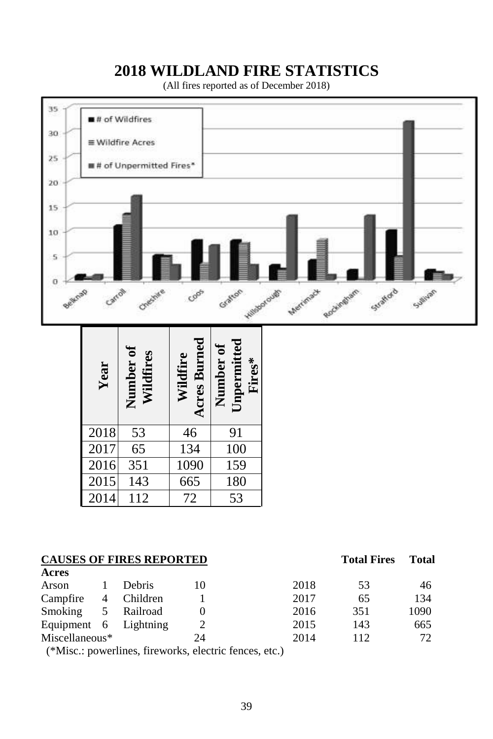## **2018 WILDLAND FIRE STATISTICS**

(All fires reported as of December 2018)



|                | Year           | Number of<br>Wildfires          | Acres Burn<br>Wildfire | Number of<br>Unpermitted<br>Fires*                     |  |
|----------------|----------------|---------------------------------|------------------------|--------------------------------------------------------|--|
|                | 2018           | 53                              | 46                     | 91                                                     |  |
|                | 2017           | 65                              | 134                    | 100                                                    |  |
|                | 2016           | 351                             | 1090                   | 159                                                    |  |
|                | 2015           | 143                             | 665                    | 180                                                    |  |
|                | 2014           | 112                             | 72                     | 53                                                     |  |
| cres           |                | <b>CAUSES OF FIRES REPORTED</b> |                        |                                                        |  |
| rson           | 1              | Debris                          | 10                     |                                                        |  |
| ampfire        | $\overline{4}$ | Children                        | 1                      |                                                        |  |
| moking         | 5              | Railroad                        | $\overline{0}$         |                                                        |  |
| iquipment 6    |                | Lightning                       | 2                      |                                                        |  |
| Aiscellaneous* |                |                                 | 24                     |                                                        |  |
|                |                |                                 |                        | (*Misc.: powerlines, fireworks, electric fences, etc.) |  |

|                |  | <b>CAUSES OF FIRES REPORTED</b> |
|----------------|--|---------------------------------|
| $\Lambda$ anno |  |                                 |

| Acres                 |   |               |    |      |     |      |
|-----------------------|---|---------------|----|------|-----|------|
| Arson                 |   | <b>Debris</b> | 10 | 2018 | 53  | 46   |
| Campfire              | 4 | Children      |    | 2017 | 65  | 134  |
| Smoking               | 5 | Railroad      |    | 2016 | 351 | 1090 |
| Equipment 6 Lightning |   |               |    | 2015 | 143 | 665  |
| $Miscellaneous*$      |   |               | 24 | 2014 | 112 | 72   |
|                       |   |               |    |      |     |      |

**Total Fires Total**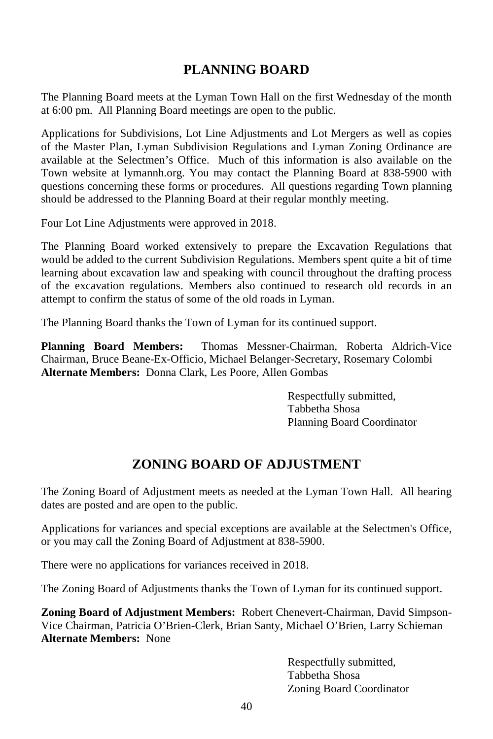## **PLANNING BOARD**

The Planning Board meets at the Lyman Town Hall on the first Wednesday of the month at 6:00 pm. All Planning Board meetings are open to the public.

Applications for Subdivisions, Lot Line Adjustments and Lot Mergers as well as copies of the Master Plan, Lyman Subdivision Regulations and Lyman Zoning Ordinance are available at the Selectmen's Office. Much of this information is also available on the Town website at lymannh.org. You may contact the Planning Board at 838-5900 with questions concerning these forms or procedures. All questions regarding Town planning should be addressed to the Planning Board at their regular monthly meeting.

Four Lot Line Adjustments were approved in 2018.

The Planning Board worked extensively to prepare the Excavation Regulations that would be added to the current Subdivision Regulations. Members spent quite a bit of time learning about excavation law and speaking with council throughout the drafting process of the excavation regulations. Members also continued to research old records in an attempt to confirm the status of some of the old roads in Lyman.

The Planning Board thanks the Town of Lyman for its continued support.

**Planning Board Members:** Thomas Messner-Chairman, Roberta Aldrich-Vice Chairman, Bruce Beane-Ex-Officio, Michael Belanger-Secretary, Rosemary Colombi **Alternate Members:** Donna Clark, Les Poore, Allen Gombas

> Respectfully submitted, Tabbetha Shosa Planning Board Coordinator

## **ZONING BOARD OF ADJUSTMENT**

The Zoning Board of Adjustment meets as needed at the Lyman Town Hall. All hearing dates are posted and are open to the public.

Applications for variances and special exceptions are available at the Selectmen's Office, or you may call the Zoning Board of Adjustment at 838-5900.

There were no applications for variances received in 2018.

The Zoning Board of Adjustments thanks the Town of Lyman for its continued support.

**Zoning Board of Adjustment Members:** Robert Chenevert-Chairman, David Simpson-Vice Chairman, Patricia O'Brien-Clerk, Brian Santy, Michael O'Brien, Larry Schieman **Alternate Members:** None

> Respectfully submitted, Tabbetha Shosa Zoning Board Coordinator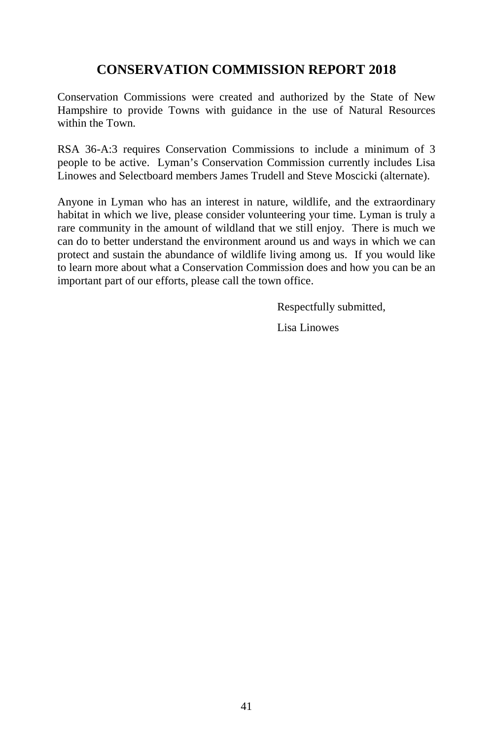## **CONSERVATION COMMISSION REPORT 2018**

Conservation Commissions were created and authorized by the State of New Hampshire to provide Towns with guidance in the use of Natural Resources within the Town.

RSA 36-A:3 requires Conservation Commissions to include a minimum of 3 people to be active. Lyman's Conservation Commission currently includes Lisa Linowes and Selectboard members James Trudell and Steve Moscicki (alternate).

Anyone in Lyman who has an interest in nature, wildlife, and the extraordinary habitat in which we live, please consider volunteering your time. Lyman is truly a rare community in the amount of wildland that we still enjoy. There is much we can do to better understand the environment around us and ways in which we can protect and sustain the abundance of wildlife living among us. If you would like to learn more about what a Conservation Commission does and how you can be an important part of our efforts, please call the town office.

Respectfully submitted,

Lisa Linowes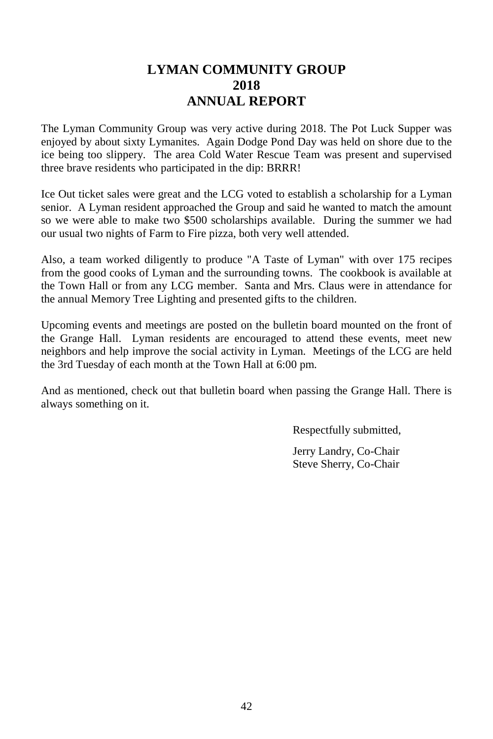## **LYMAN COMMUNITY GROUP 2018 ANNUAL REPORT**

The Lyman Community Group was very active during 2018. The Pot Luck Supper was enjoyed by about sixty Lymanites. Again Dodge Pond Day was held on shore due to the ice being too slippery. The area Cold Water Rescue Team was present and supervised three brave residents who participated in the dip: BRRR!

Ice Out ticket sales were great and the LCG voted to establish a scholarship for a Lyman senior. A Lyman resident approached the Group and said he wanted to match the amount so we were able to make two \$500 scholarships available. During the summer we had our usual two nights of Farm to Fire pizza, both very well attended.

Also, a team worked diligently to produce "A Taste of Lyman" with over 175 recipes from the good cooks of Lyman and the surrounding towns. The cookbook is available at the Town Hall or from any LCG member. Santa and Mrs. Claus were in attendance for the annual Memory Tree Lighting and presented gifts to the children.

Upcoming events and meetings are posted on the bulletin board mounted on the front of the Grange Hall. Lyman residents are encouraged to attend these events, meet new neighbors and help improve the social activity in Lyman. Meetings of the LCG are held the 3rd Tuesday of each month at the Town Hall at 6:00 pm.

And as mentioned, check out that bulletin board when passing the Grange Hall. There is always something on it.

Respectfully submitted,

Jerry Landry, Co-Chair Steve Sherry, Co-Chair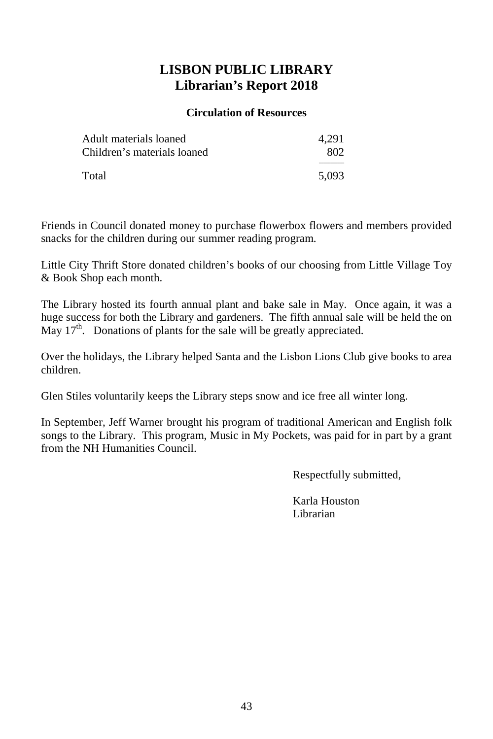## **LISBON PUBLIC LIBRARY Librarian's Report 2018**

#### **Circulation of Resources**

| Adult materials loaned      | 4.291 |
|-----------------------------|-------|
| Children's materials loaned | 802   |
|                             |       |
| Total                       | 5.093 |

Friends in Council donated money to purchase flowerbox flowers and members provided snacks for the children during our summer reading program.

Little City Thrift Store donated children's books of our choosing from Little Village Toy & Book Shop each month.

The Library hosted its fourth annual plant and bake sale in May. Once again, it was a huge success for both the Library and gardeners. The fifth annual sale will be held the on May  $17<sup>th</sup>$ . Donations of plants for the sale will be greatly appreciated.

Over the holidays, the Library helped Santa and the Lisbon Lions Club give books to area children.

Glen Stiles voluntarily keeps the Library steps snow and ice free all winter long.

In September, Jeff Warner brought his program of traditional American and English folk songs to the Library. This program, Music in My Pockets, was paid for in part by a grant from the NH Humanities Council.

Respectfully submitted,

Karla Houston Librarian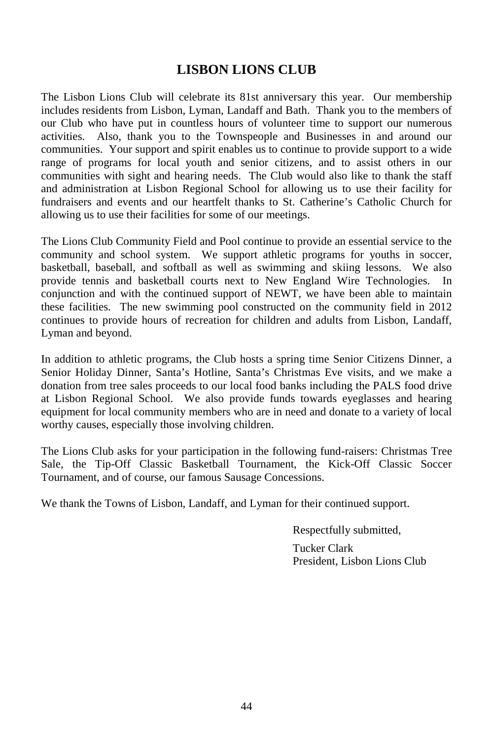## **LISBON LIONS CLUB**

The Lisbon Lions Club will celebrate its 81st anniversary this year. Our membership includes residents from Lisbon, Lyman, Landaff and Bath. Thank you to the members of our Club who have put in countless hours of volunteer time to support our numerous activities. Also, thank you to the Townspeople and Businesses in and around our communities. Your support and spirit enables us to continue to provide support to a wide range of programs for local youth and senior citizens, and to assist others in our communities with sight and hearing needs. The Club would also like to thank the staff and administration at Lisbon Regional School for allowing us to use their facility for fundraisers and events and our heartfelt thanks to St. Catherine's Catholic Church for allowing us to use their facilities for some of our meetings.

The Lions Club Community Field and Pool continue to provide an essential service to the community and school system. We support athletic programs for youths in soccer, basketball, baseball, and softball as well as swimming and skiing lessons. We also provide tennis and basketball courts next to New England Wire Technologies. In conjunction and with the continued support of NEWT, we have been able to maintain these facilities. The new swimming pool constructed on the community field in 2012 continues to provide hours of recreation for children and adults from Lisbon, Landaff, Lyman and beyond.

In addition to athletic programs, the Club hosts a spring time Senior Citizens Dinner, a Senior Holiday Dinner, Santa's Hotline, Santa's Christmas Eve visits, and we make a donation from tree sales proceeds to our local food banks including the PALS food drive at Lisbon Regional School. We also provide funds towards eyeglasses and hearing equipment for local community members who are in need and donate to a variety of local worthy causes, especially those involving children.

The Lions Club asks for your participation in the following fund-raisers: Christmas Tree Sale, the Tip-Off Classic Basketball Tournament, the Kick-Off Classic Soccer Tournament, and of course, our famous Sausage Concessions.

We thank the Towns of Lisbon, Landaff, and Lyman for their continued support.

Respectfully submitted, Tucker Clark President, Lisbon Lions Club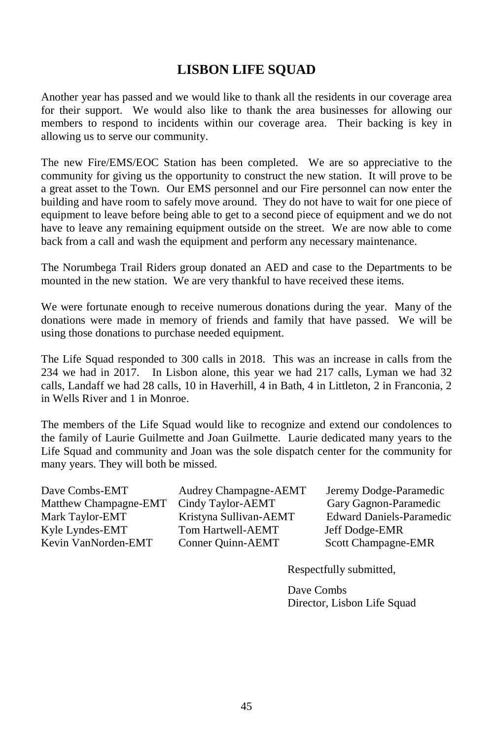## **LISBON LIFE SQUAD**

Another year has passed and we would like to thank all the residents in our coverage area for their support. We would also like to thank the area businesses for allowing our members to respond to incidents within our coverage area. Their backing is key in allowing us to serve our community.

The new Fire/EMS/EOC Station has been completed. We are so appreciative to the community for giving us the opportunity to construct the new station. It will prove to be a great asset to the Town. Our EMS personnel and our Fire personnel can now enter the building and have room to safely move around. They do not have to wait for one piece of equipment to leave before being able to get to a second piece of equipment and we do not have to leave any remaining equipment outside on the street. We are now able to come back from a call and wash the equipment and perform any necessary maintenance.

The Norumbega Trail Riders group donated an AED and case to the Departments to be mounted in the new station. We are very thankful to have received these items.

We were fortunate enough to receive numerous donations during the year. Many of the donations were made in memory of friends and family that have passed. We will be using those donations to purchase needed equipment.

The Life Squad responded to 300 calls in 2018. This was an increase in calls from the 234 we had in 2017. In Lisbon alone, this year we had 217 calls, Lyman we had 32 calls, Landaff we had 28 calls, 10 in Haverhill, 4 in Bath, 4 in Littleton, 2 in Franconia, 2 in Wells River and 1 in Monroe.

The members of the Life Squad would like to recognize and extend our condolences to the family of Laurie Guilmette and Joan Guilmette. Laurie dedicated many years to the Life Squad and community and Joan was the sole dispatch center for the community for many years. They will both be missed.

Dave Combs-EMT Audrey Champagne-AEMT Jeremy Dodge-Paramedic Matthew Champagne-EMT Cindy Taylor-AEMT Gary Gagnon-Paramedic Kyle Lyndes-EMT Tom Hartwell-AEMT Jeff Dodge-EMR Kevin VanNorden-EMT Conner Quinn-AEMT Scott Champagne-EMR

Mark Taylor-EMT Kristyna Sullivan-AEMT Edward Daniels-Paramedic

Respectfully submitted,

Dave Combs Director, Lisbon Life Squad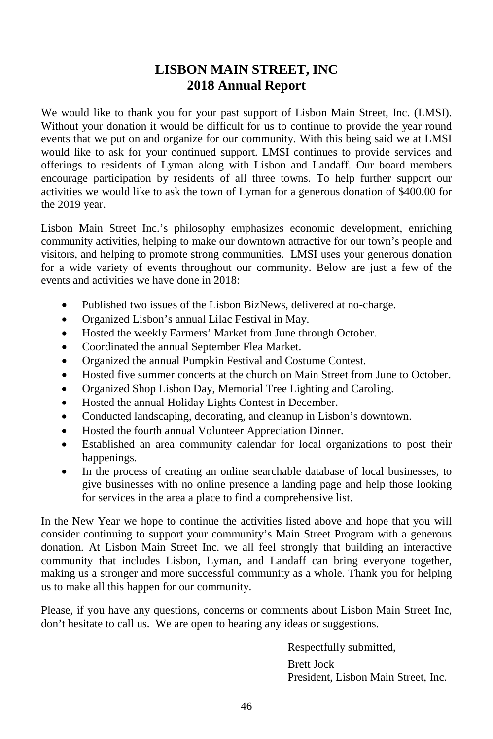## **LISBON MAIN STREET, INC 2018 Annual Report**

We would like to thank you for your past support of Lisbon Main Street, Inc. (LMSI). Without your donation it would be difficult for us to continue to provide the year round events that we put on and organize for our community. With this being said we at LMSI would like to ask for your continued support. LMSI continues to provide services and offerings to residents of Lyman along with Lisbon and Landaff. Our board members encourage participation by residents of all three towns. To help further support our activities we would like to ask the town of Lyman for a generous donation of \$400.00 for the 2019 year.

Lisbon Main Street Inc.'s philosophy emphasizes economic development, enriching community activities, helping to make our downtown attractive for our town's people and visitors, and helping to promote strong communities. LMSI uses your generous donation for a wide variety of events throughout our community. Below are just a few of the events and activities we have done in 2018:

- Published two issues of the Lisbon BizNews, delivered at no-charge.
- Organized Lisbon's annual Lilac Festival in May.
- Hosted the weekly Farmers' Market from June through October.
- Coordinated the annual September Flea Market.
- Organized the annual Pumpkin Festival and Costume Contest.
- Hosted five summer concerts at the church on Main Street from June to October.
- Organized Shop Lisbon Day, Memorial Tree Lighting and Caroling.
- Hosted the annual Holiday Lights Contest in December.
- Conducted landscaping, decorating, and cleanup in Lisbon's downtown.
- Hosted the fourth annual Volunteer Appreciation Dinner.
- Established an area community calendar for local organizations to post their happenings.
- In the process of creating an online searchable database of local businesses, to give businesses with no online presence a landing page and help those looking for services in the area a place to find a comprehensive list.

In the New Year we hope to continue the activities listed above and hope that you will consider continuing to support your community's Main Street Program with a generous donation. At Lisbon Main Street Inc. we all feel strongly that building an interactive community that includes Lisbon, Lyman, and Landaff can bring everyone together, making us a stronger and more successful community as a whole. Thank you for helping us to make all this happen for our community.

Please, if you have any questions, concerns or comments about Lisbon Main Street Inc, don't hesitate to call us. We are open to hearing any ideas or suggestions.

> Respectfully submitted, Brett Jock President, Lisbon Main Street, Inc.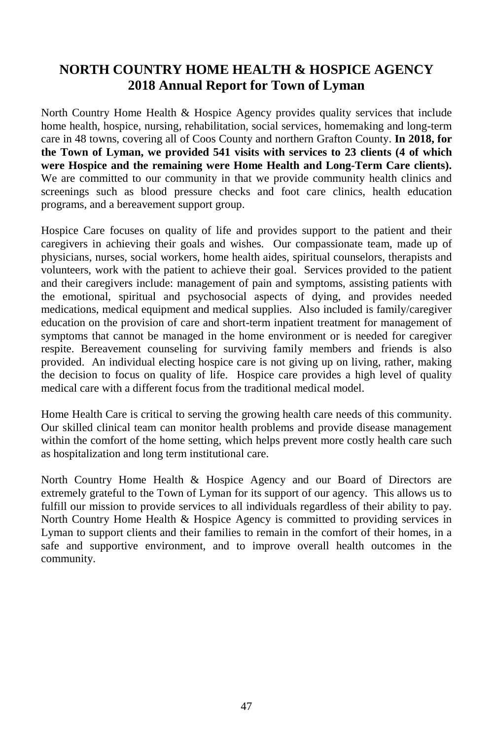## **NORTH COUNTRY HOME HEALTH & HOSPICE AGENCY 2018 Annual Report for Town of Lyman**

North Country Home Health & Hospice Agency provides quality services that include home health, hospice, nursing, rehabilitation, social services, homemaking and long-term care in 48 towns, covering all of Coos County and northern Grafton County. **In 2018, for the Town of Lyman, we provided 541 visits with services to 23 clients (4 of which were Hospice and the remaining were Home Health and Long-Term Care clients).** We are committed to our community in that we provide community health clinics and screenings such as blood pressure checks and foot care clinics, health education programs, and a bereavement support group.

Hospice Care focuses on quality of life and provides support to the patient and their caregivers in achieving their goals and wishes. Our compassionate team, made up of physicians, nurses, social workers, home health aides, spiritual counselors, therapists and volunteers, work with the patient to achieve their goal. Services provided to the patient and their caregivers include: management of pain and symptoms, assisting patients with the emotional, spiritual and psychosocial aspects of dying, and provides needed medications, medical equipment and medical supplies. Also included is family/caregiver education on the provision of care and short-term inpatient treatment for management of symptoms that cannot be managed in the home environment or is needed for caregiver respite. Bereavement counseling for surviving family members and friends is also provided. An individual electing hospice care is not giving up on living, rather, making the decision to focus on quality of life. Hospice care provides a high level of quality medical care with a different focus from the traditional medical model.

Home Health Care is critical to serving the growing health care needs of this community. Our skilled clinical team can monitor health problems and provide disease management within the comfort of the home setting, which helps prevent more costly health care such as hospitalization and long term institutional care.

North Country Home Health & Hospice Agency and our Board of Directors are extremely grateful to the Town of Lyman for its support of our agency. This allows us to fulfill our mission to provide services to all individuals regardless of their ability to pay. North Country Home Health & Hospice Agency is committed to providing services in Lyman to support clients and their families to remain in the comfort of their homes, in a safe and supportive environment, and to improve overall health outcomes in the community.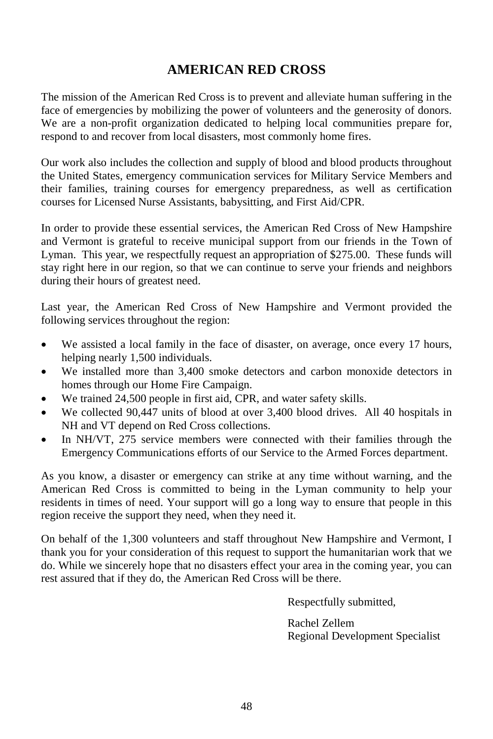## **AMERICAN RED CROSS**

The mission of the American Red Cross is to prevent and alleviate human suffering in the face of emergencies by mobilizing the power of volunteers and the generosity of donors. We are a non-profit organization dedicated to helping local communities prepare for, respond to and recover from local disasters, most commonly home fires.

Our work also includes the collection and supply of blood and blood products throughout the United States, emergency communication services for Military Service Members and their families, training courses for emergency preparedness, as well as certification courses for Licensed Nurse Assistants, babysitting, and First Aid/CPR.

In order to provide these essential services, the American Red Cross of New Hampshire and Vermont is grateful to receive municipal support from our friends in the Town of Lyman. This year, we respectfully request an appropriation of \$275.00. These funds will stay right here in our region, so that we can continue to serve your friends and neighbors during their hours of greatest need.

Last year, the American Red Cross of New Hampshire and Vermont provided the following services throughout the region:

- We assisted a local family in the face of disaster, on average, once every 17 hours, helping nearly 1,500 individuals.
- We installed more than 3,400 smoke detectors and carbon monoxide detectors in homes through our Home Fire Campaign.
- We trained 24,500 people in first aid, CPR, and water safety skills.
- We collected 90,447 units of blood at over 3,400 blood drives. All 40 hospitals in NH and VT depend on Red Cross collections.
- In NH/VT, 275 service members were connected with their families through the Emergency Communications efforts of our Service to the Armed Forces department.

As you know, a disaster or emergency can strike at any time without warning, and the American Red Cross is committed to being in the Lyman community to help your residents in times of need. Your support will go a long way to ensure that people in this region receive the support they need, when they need it.

On behalf of the 1,300 volunteers and staff throughout New Hampshire and Vermont, I thank you for your consideration of this request to support the humanitarian work that we do. While we sincerely hope that no disasters effect your area in the coming year, you can rest assured that if they do, the American Red Cross will be there.

Respectfully submitted,

Rachel Zellem Regional Development Specialist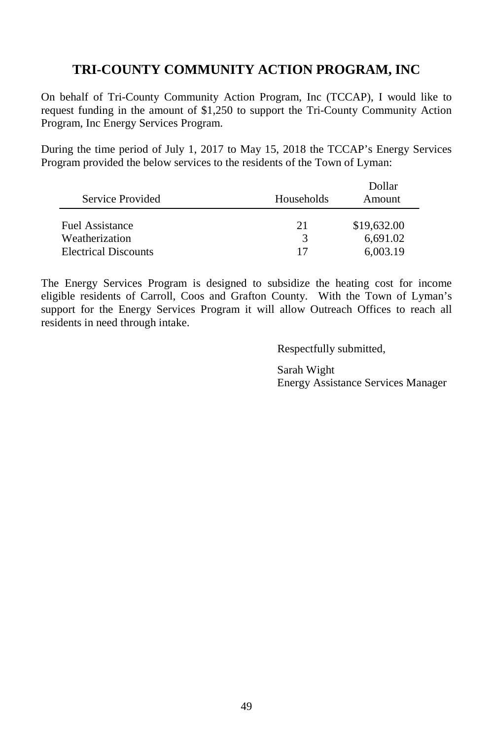## **TRI-COUNTY COMMUNITY ACTION PROGRAM, INC**

On behalf of Tri-County Community Action Program, Inc (TCCAP), I would like to request funding in the amount of \$1,250 to support the Tri-County Community Action Program, Inc Energy Services Program.

During the time period of July 1, 2017 to May 15, 2018 the TCCAP's Energy Services Program provided the below services to the residents of the Town of Lyman:

|                             |            | Dollar      |
|-----------------------------|------------|-------------|
| Service Provided            | Households | Amount      |
|                             |            |             |
| <b>Fuel Assistance</b>      | 21         | \$19,632.00 |
| Weatherization              | 3          | 6.691.02    |
| <b>Electrical Discounts</b> | 17         | 6.003.19    |

The Energy Services Program is designed to subsidize the heating cost for income eligible residents of Carroll, Coos and Grafton County. With the Town of Lyman's support for the Energy Services Program it will allow Outreach Offices to reach all residents in need through intake.

Respectfully submitted,

Sarah Wight Energy Assistance Services Manager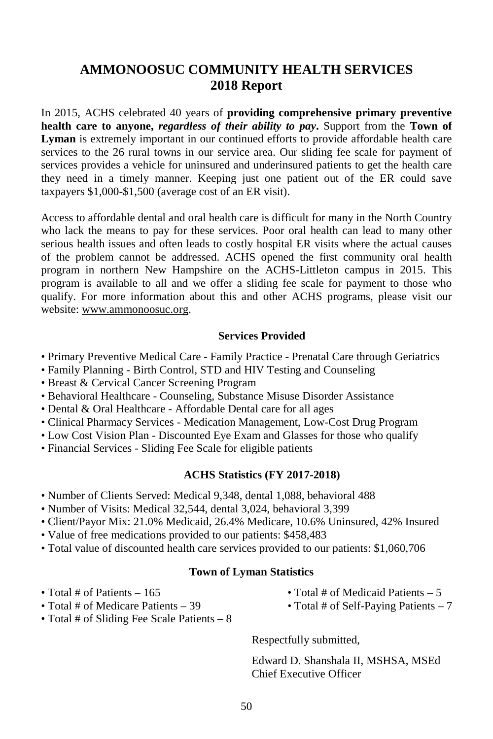## **AMMONOOSUC COMMUNITY HEALTH SERVICES 2018 Report**

In 2015, ACHS celebrated 40 years of **providing comprehensive primary preventive health care to anyone,** *regardless of their ability to pay***.** Support from the **Town of Lyman** is extremely important in our continued efforts to provide affordable health care services to the 26 rural towns in our service area. Our sliding fee scale for payment of services provides a vehicle for uninsured and underinsured patients to get the health care they need in a timely manner. Keeping just one patient out of the ER could save taxpayers \$1,000-\$1,500 (average cost of an ER visit).

Access to affordable dental and oral health care is difficult for many in the North Country who lack the means to pay for these services. Poor oral health can lead to many other serious health issues and often leads to costly hospital ER visits where the actual causes of the problem cannot be addressed. ACHS opened the first community oral health program in northern New Hampshire on the ACHS-Littleton campus in 2015. This program is available to all and we offer a sliding fee scale for payment to those who qualify. For more information about this and other ACHS programs, please visit our website: [www.ammonoosuc.org.](http://www.ammonoosuc.org/)

#### **Services Provided**

- Primary Preventive Medical Care Family Practice Prenatal Care through Geriatrics
- Family Planning Birth Control, STD and HIV Testing and Counseling
- Breast & Cervical Cancer Screening Program
- Behavioral Healthcare Counseling, Substance Misuse Disorder Assistance
- Dental & Oral Healthcare Affordable Dental care for all ages
- Clinical Pharmacy Services Medication Management, Low-Cost Drug Program
- Low Cost Vision Plan Discounted Eye Exam and Glasses for those who qualify
- Financial Services Sliding Fee Scale for eligible patients

#### **ACHS Statistics (FY 2017-2018)**

- Number of Clients Served: Medical 9,348, dental 1,088, behavioral 488
- Number of Visits: Medical 32,544, dental 3,024, behavioral 3,399
- Client/Payor Mix: 21.0% Medicaid, 26.4% Medicare, 10.6% Uninsured, 42% Insured
- Value of free medications provided to our patients: \$458,483
- Total value of discounted health care services provided to our patients: \$1,060,706

#### **Town of Lyman Statistics**

- 
- Total # of Medicare Patients 39 Total # of Self-Paying Patients 7
- Total # of Sliding Fee Scale Patients 8
- Total # of Patients 165 Total # of Medicaid Patients 5
	-

Respectfully submitted,

Edward D. Shanshala II, MSHSA, MSEd Chief Executive Officer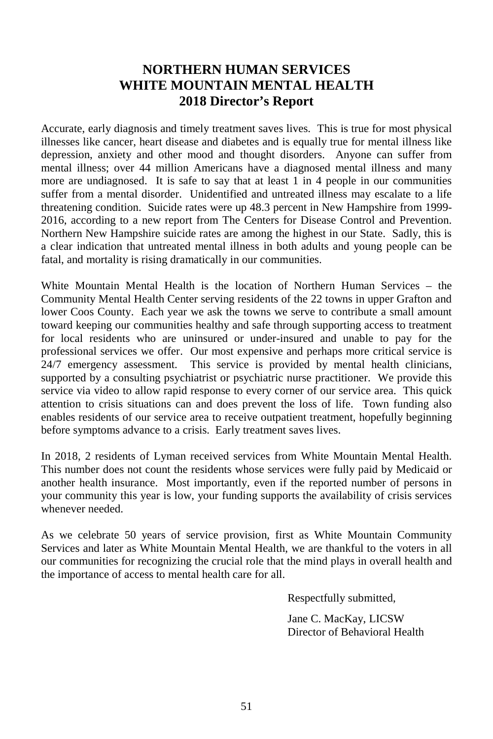## **NORTHERN HUMAN SERVICES WHITE MOUNTAIN MENTAL HEALTH 2018 Director's Report**

Accurate, early diagnosis and timely treatment saves lives. This is true for most physical illnesses like cancer, heart disease and diabetes and is equally true for mental illness like depression, anxiety and other mood and thought disorders. Anyone can suffer from mental illness; over 44 million Americans have a diagnosed mental illness and many more are undiagnosed. It is safe to say that at least 1 in 4 people in our communities suffer from a mental disorder. Unidentified and untreated illness may escalate to a life threatening condition. Suicide rates were up 48.3 percent in New Hampshire from 1999- 2016, according to a new report from The Centers for Disease Control and Prevention. Northern New Hampshire suicide rates are among the highest in our State. Sadly, this is a clear indication that untreated mental illness in both adults and young people can be fatal, and mortality is rising dramatically in our communities.

White Mountain Mental Health is the location of Northern Human Services – the Community Mental Health Center serving residents of the 22 towns in upper Grafton and lower Coos County. Each year we ask the towns we serve to contribute a small amount toward keeping our communities healthy and safe through supporting access to treatment for local residents who are uninsured or under-insured and unable to pay for the professional services we offer. Our most expensive and perhaps more critical service is 24/7 emergency assessment. This service is provided by mental health clinicians, supported by a consulting psychiatrist or psychiatric nurse practitioner. We provide this service via video to allow rapid response to every corner of our service area. This quick attention to crisis situations can and does prevent the loss of life. Town funding also enables residents of our service area to receive outpatient treatment, hopefully beginning before symptoms advance to a crisis. Early treatment saves lives.

In 2018, 2 residents of Lyman received services from White Mountain Mental Health. This number does not count the residents whose services were fully paid by Medicaid or another health insurance. Most importantly, even if the reported number of persons in your community this year is low, your funding supports the availability of crisis services whenever needed.

As we celebrate 50 years of service provision, first as White Mountain Community Services and later as White Mountain Mental Health, we are thankful to the voters in all our communities for recognizing the crucial role that the mind plays in overall health and the importance of access to mental health care for all.

Respectfully submitted,

Jane C. MacKay, LICSW Director of Behavioral Health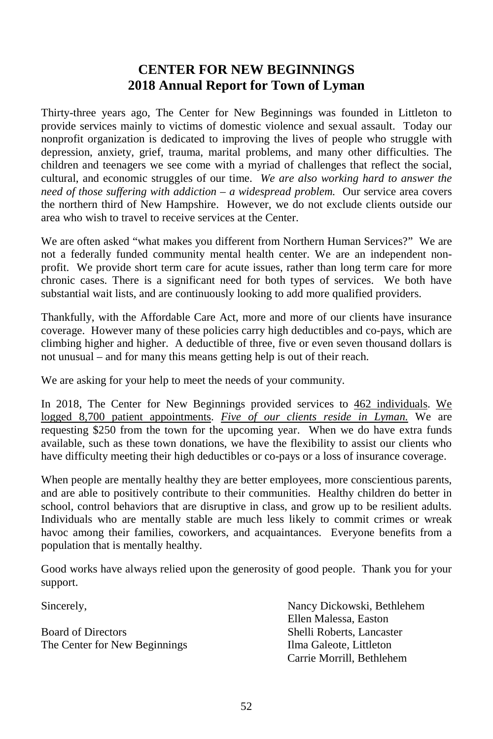## **CENTER FOR NEW BEGINNINGS 2018 Annual Report for Town of Lyman**

Thirty-three years ago, The Center for New Beginnings was founded in Littleton to provide services mainly to victims of domestic violence and sexual assault. Today our nonprofit organization is dedicated to improving the lives of people who struggle with depression, anxiety, grief, trauma, marital problems, and many other difficulties. The children and teenagers we see come with a myriad of challenges that reflect the social, cultural, and economic struggles of our time. *We are also working hard to answer the need of those suffering with addiction – a widespread problem.* Our service area covers the northern third of New Hampshire. However, we do not exclude clients outside our area who wish to travel to receive services at the Center.

We are often asked "what makes you different from Northern Human Services?" We are not a federally funded community mental health center. We are an independent nonprofit. We provide short term care for acute issues, rather than long term care for more chronic cases. There is a significant need for both types of services. We both have substantial wait lists, and are continuously looking to add more qualified providers.

Thankfully, with the Affordable Care Act, more and more of our clients have insurance coverage. However many of these policies carry high deductibles and co-pays, which are climbing higher and higher. A deductible of three, five or even seven thousand dollars is not unusual – and for many this means getting help is out of their reach.

We are asking for your help to meet the needs of your community.

In 2018, The Center for New Beginnings provided services to 462 individuals. We logged 8,700 patient appointments. *Five of our clients reside in Lyman.* We are requesting \$250 from the town for the upcoming year. When we do have extra funds available, such as these town donations, we have the flexibility to assist our clients who have difficulty meeting their high deductibles or co-pays or a loss of insurance coverage.

When people are mentally healthy they are better employees, more conscientious parents, and are able to positively contribute to their communities. Healthy children do better in school, control behaviors that are disruptive in class, and grow up to be resilient adults. Individuals who are mentally stable are much less likely to commit crimes or wreak havoc among their families, coworkers, and acquaintances. Everyone benefits from a population that is mentally healthy.

Good works have always relied upon the generosity of good people. Thank you for your support.

Board of Directors Shelli Roberts, Lancaster The Center for New Beginnings Ilma Galeote, Littleton

Sincerely, Nancy Dickowski, Bethlehem Ellen Malessa, Easton Carrie Morrill, Bethlehem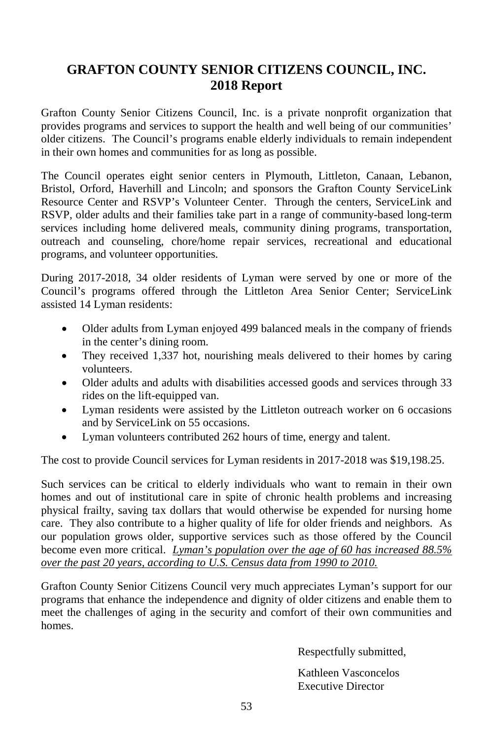## **GRAFTON COUNTY SENIOR CITIZENS COUNCIL, INC. 2018 Report**

Grafton County Senior Citizens Council, Inc. is a private nonprofit organization that provides programs and services to support the health and well being of our communities' older citizens. The Council's programs enable elderly individuals to remain independent in their own homes and communities for as long as possible.

The Council operates eight senior centers in Plymouth, Littleton, Canaan, Lebanon, Bristol, Orford, Haverhill and Lincoln; and sponsors the Grafton County ServiceLink Resource Center and RSVP's Volunteer Center. Through the centers, ServiceLink and RSVP, older adults and their families take part in a range of community-based long-term services including home delivered meals, community dining programs, transportation, outreach and counseling, chore/home repair services, recreational and educational programs, and volunteer opportunities.

During 2017-2018, 34 older residents of Lyman were served by one or more of the Council's programs offered through the Littleton Area Senior Center; ServiceLink assisted 14 Lyman residents:

- Older adults from Lyman enjoyed 499 balanced meals in the company of friends in the center's dining room.
- They received 1,337 hot, nourishing meals delivered to their homes by caring volunteers.
- Older adults and adults with disabilities accessed goods and services through 33 rides on the lift-equipped van.
- Lyman residents were assisted by the Littleton outreach worker on 6 occasions and by ServiceLink on 55 occasions.
- Lyman volunteers contributed 262 hours of time, energy and talent.

The cost to provide Council services for Lyman residents in 2017-2018 was \$19,198.25.

Such services can be critical to elderly individuals who want to remain in their own homes and out of institutional care in spite of chronic health problems and increasing physical frailty, saving tax dollars that would otherwise be expended for nursing home care. They also contribute to a higher quality of life for older friends and neighbors. As our population grows older, supportive services such as those offered by the Council become even more critical. *Lyman's population over the age of 60 has increased 88.5% over the past 20 years, according to U.S. Census data from 1990 to 2010.*

Grafton County Senior Citizens Council very much appreciates Lyman's support for our programs that enhance the independence and dignity of older citizens and enable them to meet the challenges of aging in the security and comfort of their own communities and homes.

Respectfully submitted,

Kathleen Vasconcelos Executive Director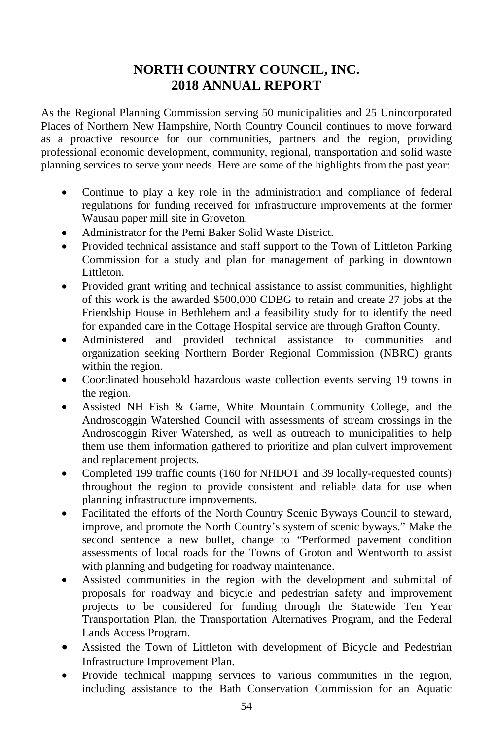## **NORTH COUNTRY COUNCIL, INC. 2018 ANNUAL REPORT**

As the Regional Planning Commission serving 50 municipalities and 25 Unincorporated Places of Northern New Hampshire, North Country Council continues to move forward as a proactive resource for our communities, partners and the region, providing professional economic development, community, regional, transportation and solid waste planning services to serve your needs. Here are some of the highlights from the past year:

- Continue to play a key role in the administration and compliance of federal regulations for funding received for infrastructure improvements at the former Wausau paper mill site in Groveton.
- Administrator for the Pemi Baker Solid Waste District.
- Provided technical assistance and staff support to the Town of Littleton Parking Commission for a study and plan for management of parking in downtown Littleton.
- Provided grant writing and technical assistance to assist communities, highlight of this work is the awarded \$500,000 CDBG to retain and create 27 jobs at the Friendship House in Bethlehem and a feasibility study for to identify the need for expanded care in the Cottage Hospital service are through Grafton County.
- Administered and provided technical assistance to communities and organization seeking Northern Border Regional Commission (NBRC) grants within the region.
- Coordinated household hazardous waste collection events serving 19 towns in the region.
- Assisted NH Fish & Game, White Mountain Community College, and the Androscoggin Watershed Council with assessments of stream crossings in the Androscoggin River Watershed, as well as outreach to municipalities to help them use them information gathered to prioritize and plan culvert improvement and replacement projects.
- Completed 199 traffic counts (160 for NHDOT and 39 locally-requested counts) throughout the region to provide consistent and reliable data for use when planning infrastructure improvements.
- Facilitated the efforts of the North Country Scenic Byways Council to steward, improve, and promote the North Country's system of scenic byways." Make the second sentence a new bullet, change to "Performed pavement condition assessments of local roads for the Towns of Groton and Wentworth to assist with planning and budgeting for roadway maintenance.
- Assisted communities in the region with the development and submittal of proposals for roadway and bicycle and pedestrian safety and improvement projects to be considered for funding through the Statewide Ten Year Transportation Plan, the Transportation Alternatives Program, and the Federal Lands Access Program.
- Assisted the Town of Littleton with development of Bicycle and Pedestrian Infrastructure Improvement Plan.
- Provide technical mapping services to various communities in the region, including assistance to the Bath Conservation Commission for an Aquatic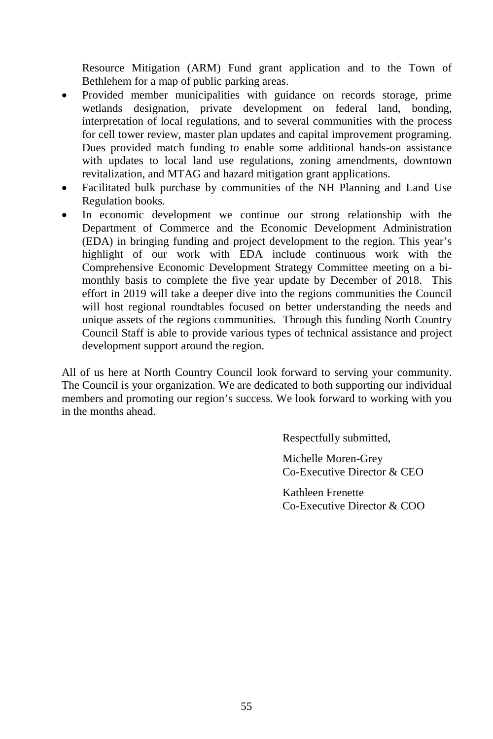Resource Mitigation (ARM) Fund grant application and to the Town of Bethlehem for a map of public parking areas.

- Provided member municipalities with guidance on records storage, prime wetlands designation, private development on federal land, bonding, interpretation of local regulations, and to several communities with the process for cell tower review, master plan updates and capital improvement programing. Dues provided match funding to enable some additional hands-on assistance with updates to local land use regulations, zoning amendments, downtown revitalization, and MTAG and hazard mitigation grant applications.
- Facilitated bulk purchase by communities of the NH Planning and Land Use Regulation books.
- In economic development we continue our strong relationship with the Department of Commerce and the Economic Development Administration (EDA) in bringing funding and project development to the region. This year's highlight of our work with EDA include continuous work with the Comprehensive Economic Development Strategy Committee meeting on a bimonthly basis to complete the five year update by December of 2018. This effort in 2019 will take a deeper dive into the regions communities the Council will host regional roundtables focused on better understanding the needs and unique assets of the regions communities. Through this funding North Country Council Staff is able to provide various types of technical assistance and project development support around the region.

All of us here at North Country Council look forward to serving your community. The Council is your organization. We are dedicated to both supporting our individual members and promoting our region's success. We look forward to working with you in the months ahead.

Respectfully submitted,

Michelle Moren-Grey Co-Executive Director & CEO

Kathleen Frenette Co-Executive Director & COO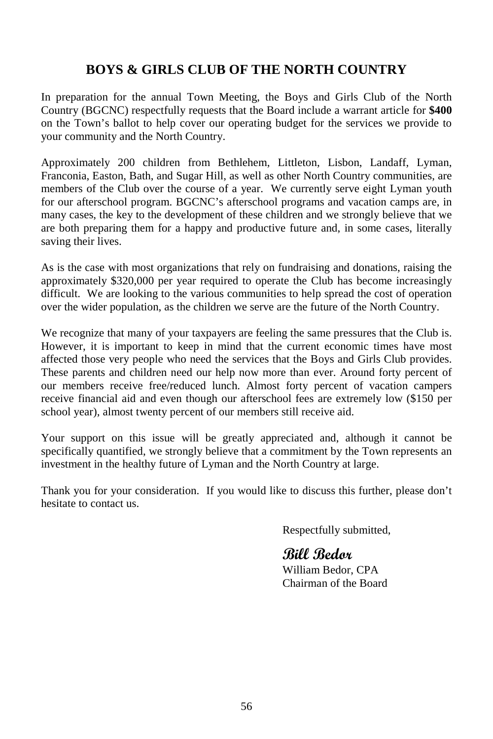## **BOYS & GIRLS CLUB OF THE NORTH COUNTRY**

In preparation for the annual Town Meeting, the Boys and Girls Club of the North Country (BGCNC) respectfully requests that the Board include a warrant article for **\$400** on the Town's ballot to help cover our operating budget for the services we provide to your community and the North Country.

Approximately 200 children from Bethlehem, Littleton, Lisbon, Landaff, Lyman, Franconia, Easton, Bath, and Sugar Hill, as well as other North Country communities, are members of the Club over the course of a year. We currently serve eight Lyman youth for our afterschool program. BGCNC's afterschool programs and vacation camps are, in many cases, the key to the development of these children and we strongly believe that we are both preparing them for a happy and productive future and, in some cases, literally saving their lives.

As is the case with most organizations that rely on fundraising and donations, raising the approximately \$320,000 per year required to operate the Club has become increasingly difficult. We are looking to the various communities to help spread the cost of operation over the wider population, as the children we serve are the future of the North Country.

We recognize that many of your taxpayers are feeling the same pressures that the Club is. However, it is important to keep in mind that the current economic times have most affected those very people who need the services that the Boys and Girls Club provides. These parents and children need our help now more than ever. Around forty percent of our members receive free/reduced lunch. Almost forty percent of vacation campers receive financial aid and even though our afterschool fees are extremely low (\$150 per school year), almost twenty percent of our members still receive aid.

Your support on this issue will be greatly appreciated and, although it cannot be specifically quantified, we strongly believe that a commitment by the Town represents an investment in the healthy future of Lyman and the North Country at large.

Thank you for your consideration. If you would like to discuss this further, please don't hesitate to contact us.

Respectfully submitted,

## **Bill Bedor**

William Bedor, CPA Chairman of the Board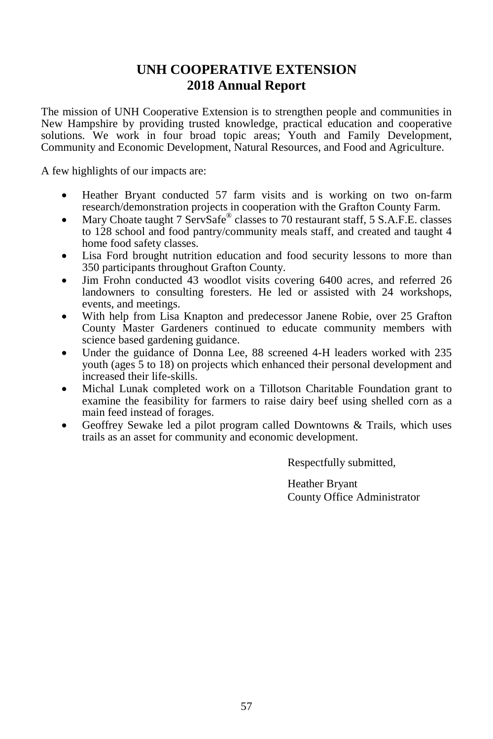## **UNH COOPERATIVE EXTENSION 2018 Annual Report**

The mission of UNH Cooperative Extension is to strengthen people and communities in New Hampshire by providing trusted knowledge, practical education and cooperative solutions. We work in four broad topic areas; Youth and Family Development, Community and Economic Development, Natural Resources, and Food and Agriculture.

A few highlights of our impacts are:

- Heather Bryant conducted 57 farm visits and is working on two on-farm research/demonstration projects in cooperation with the Grafton County Farm.
- Mary Choate taught 7 ServSafe<sup>®</sup> classes to 70 restaurant staff, 5 S.A.F.E. classes to 128 school and food pantry/community meals staff, and created and taught 4 home food safety classes.
- Lisa Ford brought nutrition education and food security lessons to more than 350 participants throughout Grafton County.
- Jim Frohn conducted 43 woodlot visits covering 6400 acres, and referred 26 landowners to consulting foresters. He led or assisted with 24 workshops, events, and meetings.
- With help from Lisa Knapton and predecessor Janene Robie, over 25 Grafton County Master Gardeners continued to educate community members with science based gardening guidance.
- Under the guidance of Donna Lee, 88 screened 4-H leaders worked with 235 youth (ages 5 to 18) on projects which enhanced their personal development and increased their life-skills.
- Michal Lunak completed work on a Tillotson Charitable Foundation grant to examine the feasibility for farmers to raise dairy beef using shelled corn as a main feed instead of forages.
- Geoffrey Sewake led a pilot program called Downtowns & Trails, which uses trails as an asset for community and economic development.

Respectfully submitted,

Heather Bryant County Office Administrator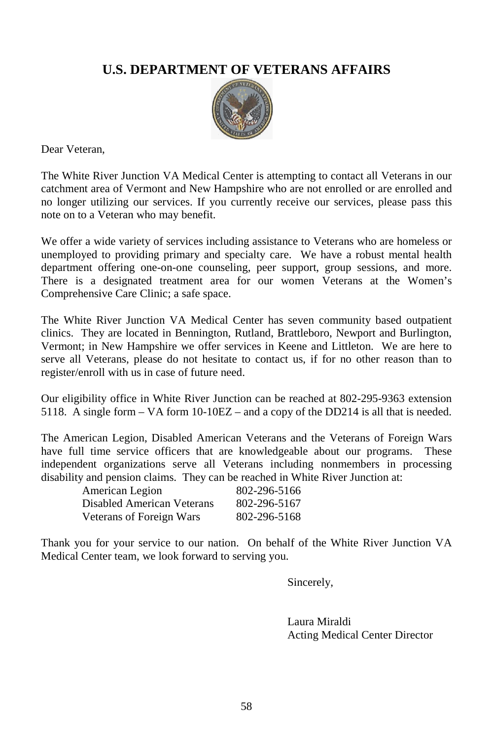## **U.S. DEPARTMENT OF VETERANS AFFAIRS**



Dear Veteran,

The White River Junction VA Medical Center is attempting to contact all Veterans in our catchment area of Vermont and New Hampshire who are not enrolled or are enrolled and no longer utilizing our services. If you currently receive our services, please pass this note on to a Veteran who may benefit.

We offer a wide variety of services including assistance to Veterans who are homeless or unemployed to providing primary and specialty care. We have a robust mental health department offering one-on-one counseling, peer support, group sessions, and more. There is a designated treatment area for our women Veterans at the Women's Comprehensive Care Clinic; a safe space.

The White River Junction VA Medical Center has seven community based outpatient clinics. They are located in Bennington, Rutland, Brattleboro, Newport and Burlington, Vermont; in New Hampshire we offer services in Keene and Littleton. We are here to serve all Veterans, please do not hesitate to contact us, if for no other reason than to register/enroll with us in case of future need.

Our eligibility office in White River Junction can be reached at 802-295-9363 extension 5118. A single form – VA form 10-10EZ – and a copy of the DD214 is all that is needed.

The American Legion, Disabled American Veterans and the Veterans of Foreign Wars have full time service officers that are knowledgeable about our programs. These independent organizations serve all Veterans including nonmembers in processing disability and pension claims. They can be reached in White River Junction at:

| American Legion            | 802-296-5166 |
|----------------------------|--------------|
| Disabled American Veterans | 802-296-5167 |
| Veterans of Foreign Wars   | 802-296-5168 |

Thank you for your service to our nation. On behalf of the White River Junction VA Medical Center team, we look forward to serving you.

Sincerely,

Laura Miraldi Acting Medical Center Director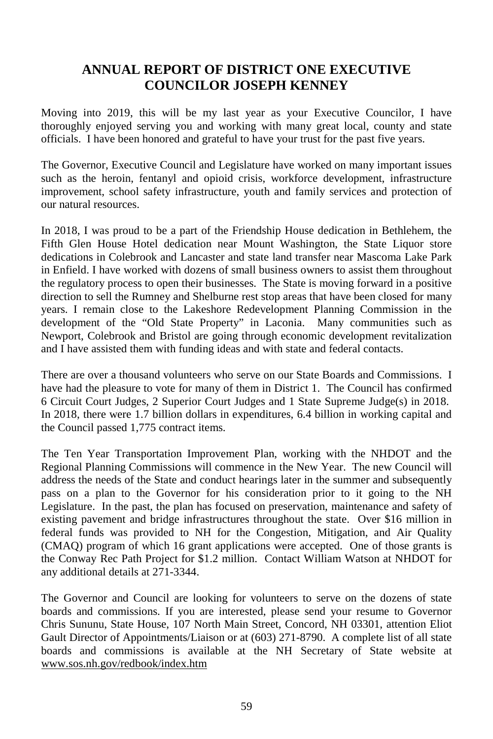## **ANNUAL REPORT OF DISTRICT ONE EXECUTIVE COUNCILOR JOSEPH KENNEY**

Moving into 2019, this will be my last year as your Executive Councilor, I have thoroughly enjoyed serving you and working with many great local, county and state officials. I have been honored and grateful to have your trust for the past five years.

The Governor, Executive Council and Legislature have worked on many important issues such as the heroin, fentanyl and opioid crisis, workforce development, infrastructure improvement, school safety infrastructure, youth and family services and protection of our natural resources.

In 2018, I was proud to be a part of the Friendship House dedication in Bethlehem, the Fifth Glen House Hotel dedication near Mount Washington, the State Liquor store dedications in Colebrook and Lancaster and state land transfer near Mascoma Lake Park in Enfield. I have worked with dozens of small business owners to assist them throughout the regulatory process to open their businesses. The State is moving forward in a positive direction to sell the Rumney and Shelburne rest stop areas that have been closed for many years. I remain close to the Lakeshore Redevelopment Planning Commission in the development of the "Old State Property" in Laconia. Many communities such as Newport, Colebrook and Bristol are going through economic development revitalization and I have assisted them with funding ideas and with state and federal contacts.

There are over a thousand volunteers who serve on our State Boards and Commissions. I have had the pleasure to vote for many of them in District 1. The Council has confirmed 6 Circuit Court Judges, 2 Superior Court Judges and 1 State Supreme Judge(s) in 2018. In 2018, there were 1.7 billion dollars in expenditures, 6.4 billion in working capital and the Council passed 1,775 contract items.

The Ten Year Transportation Improvement Plan, working with the NHDOT and the Regional Planning Commissions will commence in the New Year. The new Council will address the needs of the State and conduct hearings later in the summer and subsequently pass on a plan to the Governor for his consideration prior to it going to the NH Legislature. In the past, the plan has focused on preservation, maintenance and safety of existing pavement and bridge infrastructures throughout the state. Over \$16 million in federal funds was provided to NH for the Congestion, Mitigation, and Air Quality (CMAQ) program of which 16 grant applications were accepted. One of those grants is the Conway Rec Path Project for \$1.2 million. Contact William Watson at NHDOT for any additional details at 271-3344.

The Governor and Council are looking for volunteers to serve on the dozens of state boards and commissions. If you are interested, please send your resume to Governor Chris Sununu, State House, 107 North Main Street, Concord, NH 03301, attention Eliot Gault Director of Appointments/Liaison or at (603) 271-8790. A complete list of all state boards and commissions is available at the NH Secretary of State website at [www.sos.nh.gov/redbook/index.htm](http://www.sos.nh.gov/redbook/index.htm)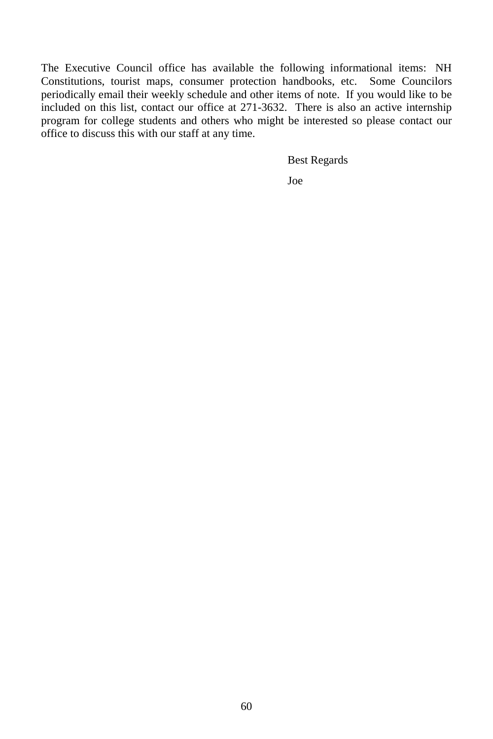The Executive Council office has available the following informational items: NH Constitutions, tourist maps, consumer protection handbooks, etc. Some Councilors periodically email their weekly schedule and other items of note. If you would like to be included on this list, contact our office at 271-3632. There is also an active internship program for college students and others who might be interested so please contact our office to discuss this with our staff at any time.

Best Regards

Joe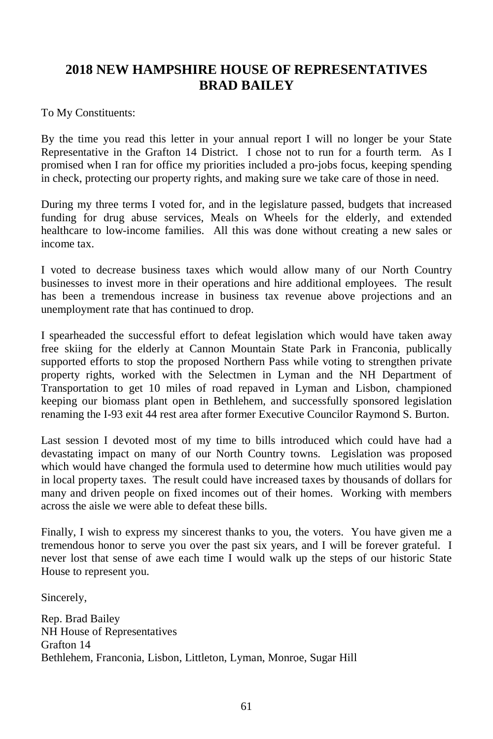## **2018 NEW HAMPSHIRE HOUSE OF REPRESENTATIVES BRAD BAILEY**

To My Constituents:

By the time you read this letter in your annual report I will no longer be your State Representative in the Grafton 14 District. I chose not to run for a fourth term. As I promised when I ran for office my priorities included a pro-jobs focus, keeping spending in check, protecting our property rights, and making sure we take care of those in need.

During my three terms I voted for, and in the legislature passed, budgets that increased funding for drug abuse services, Meals on Wheels for the elderly, and extended healthcare to low-income families. All this was done without creating a new sales or income tax.

I voted to decrease business taxes which would allow many of our North Country businesses to invest more in their operations and hire additional employees. The result has been a tremendous increase in business tax revenue above projections and an unemployment rate that has continued to drop.

I spearheaded the successful effort to defeat legislation which would have taken away free skiing for the elderly at Cannon Mountain State Park in Franconia, publically supported efforts to stop the proposed Northern Pass while voting to strengthen private property rights, worked with the Selectmen in Lyman and the NH Department of Transportation to get 10 miles of road repaved in Lyman and Lisbon, championed keeping our biomass plant open in Bethlehem, and successfully sponsored legislation renaming the I-93 exit 44 rest area after former Executive Councilor Raymond S. Burton.

Last session I devoted most of my time to bills introduced which could have had a devastating impact on many of our North Country towns. Legislation was proposed which would have changed the formula used to determine how much utilities would pay in local property taxes. The result could have increased taxes by thousands of dollars for many and driven people on fixed incomes out of their homes. Working with members across the aisle we were able to defeat these bills.

Finally, I wish to express my sincerest thanks to you, the voters. You have given me a tremendous honor to serve you over the past six years, and I will be forever grateful. I never lost that sense of awe each time I would walk up the steps of our historic State House to represent you.

Sincerely,

Rep. Brad Bailey NH House of Representatives Grafton 14 Bethlehem, Franconia, Lisbon, Littleton, Lyman, Monroe, Sugar Hill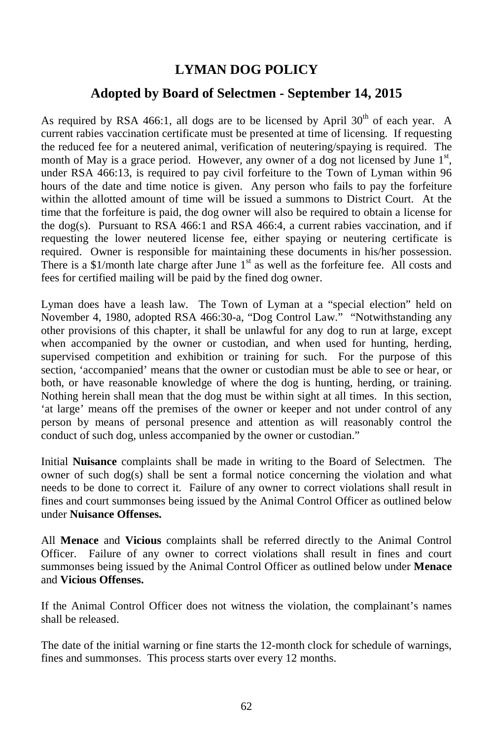## **LYMAN DOG POLICY**

## **Adopted by Board of Selectmen - September 14, 2015**

As required by RSA 466:1, all dogs are to be licensed by April  $30<sup>th</sup>$  of each year. A current rabies vaccination certificate must be presented at time of licensing. If requesting the reduced fee for a neutered animal, verification of neutering/spaying is required. The month of May is a grace period. However, any owner of a dog not licensed by June  $1<sup>st</sup>$ , under RSA 466:13, is required to pay civil forfeiture to the Town of Lyman within 96 hours of the date and time notice is given. Any person who fails to pay the forfeiture within the allotted amount of time will be issued a summons to District Court. At the time that the forfeiture is paid, the dog owner will also be required to obtain a license for the dog(s). Pursuant to RSA 466:1 and RSA 466:4, a current rabies vaccination, and if requesting the lower neutered license fee, either spaying or neutering certificate is required. Owner is responsible for maintaining these documents in his/her possession. There is a  $$1/m$ onth late charge after June  $1<sup>st</sup>$  as well as the forfeiture fee. All costs and fees for certified mailing will be paid by the fined dog owner.

Lyman does have a leash law. The Town of Lyman at a "special election" held on November 4, 1980, adopted RSA 466:30-a, "Dog Control Law." "Notwithstanding any other provisions of this chapter, it shall be unlawful for any dog to run at large, except when accompanied by the owner or custodian, and when used for hunting, herding, supervised competition and exhibition or training for such. For the purpose of this section, 'accompanied' means that the owner or custodian must be able to see or hear, or both, or have reasonable knowledge of where the dog is hunting, herding, or training. Nothing herein shall mean that the dog must be within sight at all times. In this section, 'at large' means off the premises of the owner or keeper and not under control of any person by means of personal presence and attention as will reasonably control the conduct of such dog, unless accompanied by the owner or custodian."

Initial **Nuisance** complaints shall be made in writing to the Board of Selectmen. The owner of such dog(s) shall be sent a formal notice concerning the violation and what needs to be done to correct it. Failure of any owner to correct violations shall result in fines and court summonses being issued by the Animal Control Officer as outlined below under **Nuisance Offenses.**

All **Menace** and **Vicious** complaints shall be referred directly to the Animal Control Officer. Failure of any owner to correct violations shall result in fines and court summonses being issued by the Animal Control Officer as outlined below under **Menace**  and **Vicious Offenses.**

If the Animal Control Officer does not witness the violation, the complainant's names shall be released.

The date of the initial warning or fine starts the 12-month clock for schedule of warnings, fines and summonses. This process starts over every 12 months.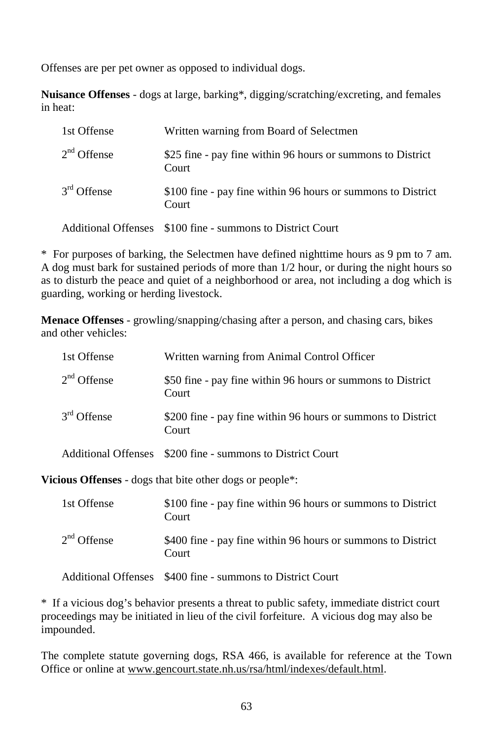Offenses are per pet owner as opposed to individual dogs.

**Nuisance Offenses** - dogs at large, barking\*, digging/scratching/excreting, and females in heat:

| 1st Offense   | Written warning from Board of Selectmen                               |
|---------------|-----------------------------------------------------------------------|
| $2nd$ Offense | \$25 fine - pay fine within 96 hours or summons to District<br>Court  |
| $3rd$ Offense | \$100 fine - pay fine within 96 hours or summons to District<br>Court |
|               | Additional Offenses \$100 fine - summons to District Court            |

\* For purposes of barking, the Selectmen have defined nighttime hours as 9 pm to 7 am. A dog must bark for sustained periods of more than 1/2 hour, or during the night hours so as to disturb the peace and quiet of a neighborhood or area, not including a dog which is guarding, working or herding livestock.

**Menace Offenses** - growling/snapping/chasing after a person, and chasing cars, bikes and other vehicles:

| 1st Offense   | Written warning from Animal Control Officer                           |
|---------------|-----------------------------------------------------------------------|
| $2nd$ Offense | \$50 fine - pay fine within 96 hours or summons to District<br>Court  |
| $3rd$ Offense | \$200 fine - pay fine within 96 hours or summons to District<br>Court |
|               | Additional Offenses \$200 fine - summons to District Court            |

**Vicious Offenses** - dogs that bite other dogs or people\*:

| 1st Offense   | \$100 fine - pay fine within 96 hours or summons to District<br>Court |
|---------------|-----------------------------------------------------------------------|
| $2nd$ Offense | \$400 fine - pay fine within 96 hours or summons to District<br>Court |
|               | Additional Offenses \$400 fine - summons to District Court            |

\* If a vicious dog's behavior presents a threat to public safety, immediate district court proceedings may be initiated in lieu of the civil forfeiture. A vicious dog may also be impounded.

The complete statute governing dogs, RSA 466, is available for reference at the Town Office or online at [www.gencourt.state.nh.us/rsa/html/indexes/default.html.](http://www.gencourt.state.nh.us/rsa/html/indexes/default.html)